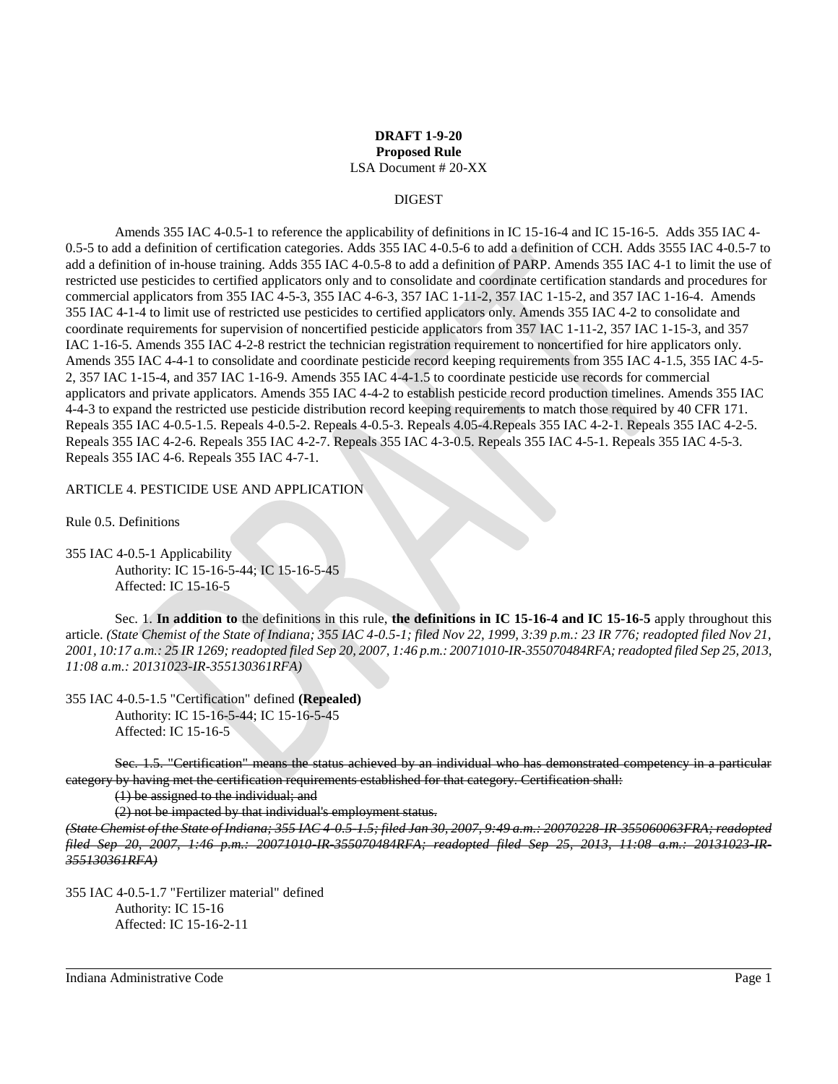# **DRAFT 1-9-20 Proposed Rule** LSA Document # 20-XX

### DIGEST

Amends 355 IAC 4-0.5-1 to reference the applicability of definitions in IC 15-16-4 and IC 15-16-5. Adds 355 IAC 4- 0.5-5 to add a definition of certification categories. Adds 355 IAC 4-0.5-6 to add a definition of CCH. Adds 3555 IAC 4-0.5-7 to add a definition of in-house training. Adds 355 IAC 4-0.5-8 to add a definition of PARP. Amends 355 IAC 4-1 to limit the use of restricted use pesticides to certified applicators only and to consolidate and coordinate certification standards and procedures for commercial applicators from 355 IAC 4-5-3, 355 IAC 4-6-3, 357 IAC 1-11-2, 357 IAC 1-15-2, and 357 IAC 1-16-4. Amends 355 IAC 4-1-4 to limit use of restricted use pesticides to certified applicators only. Amends 355 IAC 4-2 to consolidate and coordinate requirements for supervision of noncertified pesticide applicators from 357 IAC 1-11-2, 357 IAC 1-15-3, and 357 IAC 1-16-5. Amends 355 IAC 4-2-8 restrict the technician registration requirement to noncertified for hire applicators only. Amends 355 IAC 4-4-1 to consolidate and coordinate pesticide record keeping requirements from 355 IAC 4-1.5, 355 IAC 4-5- 2, 357 IAC 1-15-4, and 357 IAC 1-16-9. Amends 355 IAC 4-4-1.5 to coordinate pesticide use records for commercial applicators and private applicators. Amends 355 IAC 4-4-2 to establish pesticide record production timelines. Amends 355 IAC 4-4-3 to expand the restricted use pesticide distribution record keeping requirements to match those required by 40 CFR 171. Repeals 355 IAC 4-0.5-1.5. Repeals 4-0.5-2. Repeals 4-0.5-3. Repeals 4.05-4.Repeals 355 IAC 4-2-1. Repeals 355 IAC 4-2-5. Repeals 355 IAC 4-2-6. Repeals 355 IAC 4-2-7. Repeals 355 IAC 4-3-0.5. Repeals 355 IAC 4-5-1. Repeals 355 IAC 4-5-3. Repeals 355 IAC 4-6. Repeals 355 IAC 4-7-1.

ARTICLE 4. PESTICIDE USE AND APPLICATION

Rule 0.5. Definitions

355 IAC 4-0.5-1 Applicability Authority: IC 15-16-5-44; IC 15-16-5-45 Affected: IC 15-16-5

Sec. 1. **In addition to** the definitions in this rule, **the definitions in IC 15-16-4 and IC 15-16-5** apply throughout this article. *(State Chemist of the State of Indiana; 355 IAC 4-0.5-1; filed Nov 22, 1999, 3:39 p.m.: 23 IR 776; readopted filed Nov 21, 2001, 10:17 a.m.: 25 IR 1269; readopted filed Sep 20, 2007, 1:46 p.m.: 20071010-IR-355070484RFA; readopted filed Sep 25, 2013, 11:08 a.m.: 20131023-IR-355130361RFA)*

355 IAC 4-0.5-1.5 "Certification" defined **(Repealed)** Authority: IC 15-16-5-44; IC 15-16-5-45 Affected: IC 15-16-5

Sec. 1.5. "Certification" means the status achieved by an individual who has demonstrated competency in a particular category by having met the certification requirements established for that category. Certification shall:

(1) be assigned to the individual; and

(2) not be impacted by that individual's employment status.

*(State Chemist of the State of Indiana; 355 IAC 4-0.5-1.5; filed Jan 30, 2007, 9:49 a.m.: 20070228-IR-355060063FRA; readopted filed Sep 20, 2007, 1:46 p.m.: 20071010-IR-355070484RFA; readopted filed Sep 25, 2013, 11:08 a.m.: 20131023-IR-355130361RFA)*

355 IAC 4-0.5-1.7 "Fertilizer material" defined Authority: IC 15-16 Affected: IC 15-16-2-11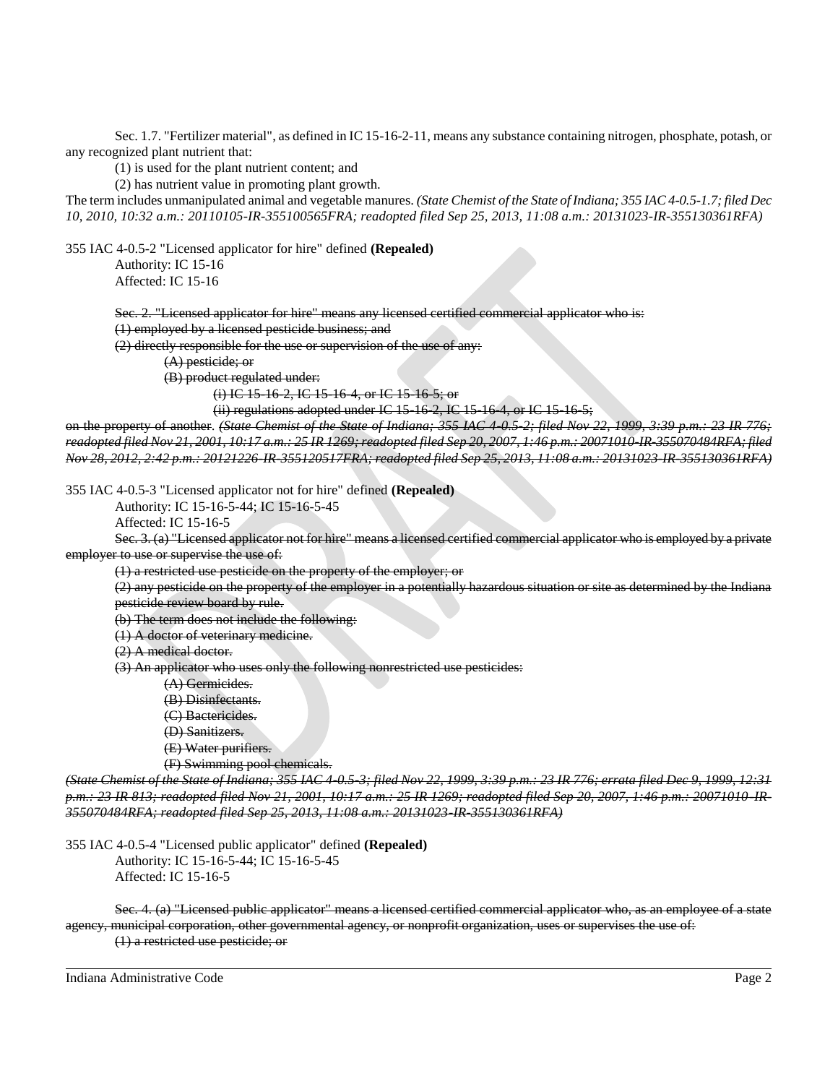Sec. 1.7. "Fertilizer material", as defined in IC 15-16-2-11, means any substance containing nitrogen, phosphate, potash, or any recognized plant nutrient that:

(1) is used for the plant nutrient content; and

(2) has nutrient value in promoting plant growth.

The term includes unmanipulated animal and vegetable manures. *(State Chemist of the State of Indiana; 355 IAC 4-0.5-1.7; filed Dec 10, 2010, 10:32 a.m.: 20110105-IR-355100565FRA; readopted filed Sep 25, 2013, 11:08 a.m.: 20131023-IR-355130361RFA)*

355 IAC 4-0.5-2 "Licensed applicator for hire" defined **(Repealed)**

Authority: IC 15-16 Affected: IC 15-16

Sec. 2. "Licensed applicator for hire" means any licensed certified commercial applicator who is:

(1) employed by a licensed pesticide business; and

(2) directly responsible for the use or supervision of the use of any:

(A) pesticide; or

(B) product regulated under:

(i) IC 15-16-2, IC 15-16-4, or IC 15-16-5; or

(ii) regulations adopted under IC 15-16-2, IC 15-16-4, or IC 15-16-5;

on the property of another. *(State Chemist of the State of Indiana; 355 IAC 4-0.5-2; filed Nov 22, 1999, 3:39 p.m.: 23 IR 776; readopted filed Nov 21, 2001, 10:17 a.m.: 25 IR 1269; readopted filed Sep 20, 2007, 1:46 p.m.: 20071010-IR-355070484RFA; filed Nov 28, 2012, 2:42 p.m.: 20121226-IR-355120517FRA; readopted filed Sep 25, 2013, 11:08 a.m.: 20131023-IR-355130361RFA)*

355 IAC 4-0.5-3 "Licensed applicator not for hire" defined **(Repealed)**

Authority: IC 15-16-5-44; IC 15-16-5-45

Affected: IC 15-16-5

Sec. 3. (a) "Licensed applicator not for hire" means a licensed certified commercial applicator who is employed by a private employer to use or supervise the use of:

(1) a restricted use pesticide on the property of the employer; or

(2) any pesticide on the property of the employer in a potentially hazardous situation or site as determined by the Indiana pesticide review board by rule.

(b) The term does not include the following:

(1) A doctor of veterinary medicine.

(2) A medical doctor.

(3) An applicator who uses only the following nonrestricted use pesticides:

(A) Germicides.

(B) Disinfectants.

(C) Bactericides.

(D) Sanitizers.

(E) Water purifiers.

(F) Swimming pool chemicals.

*(State Chemist of the State of Indiana; 355 IAC 4-0.5-3; filed Nov 22, 1999, 3:39 p.m.: 23 IR 776; errata filed Dec 9, 1999, 12:31 p.m.: 23 IR 813; readopted filed Nov 21, 2001, 10:17 a.m.: 25 IR 1269; readopted filed Sep 20, 2007, 1:46 p.m.: 20071010-IR-355070484RFA; readopted filed Sep 25, 2013, 11:08 a.m.: 20131023-IR-355130361RFA)*

355 IAC 4-0.5-4 "Licensed public applicator" defined **(Repealed)**

Authority: IC 15-16-5-44; IC 15-16-5-45 Affected: IC 15-16-5

Sec. 4. (a) "Licensed public applicator" means a licensed certified commercial applicator who, as an employee of a state agency, municipal corporation, other governmental agency, or nonprofit organization, uses or supervises the use of: (1) a restricted use pesticide; or

Indiana Administrative Code Page 2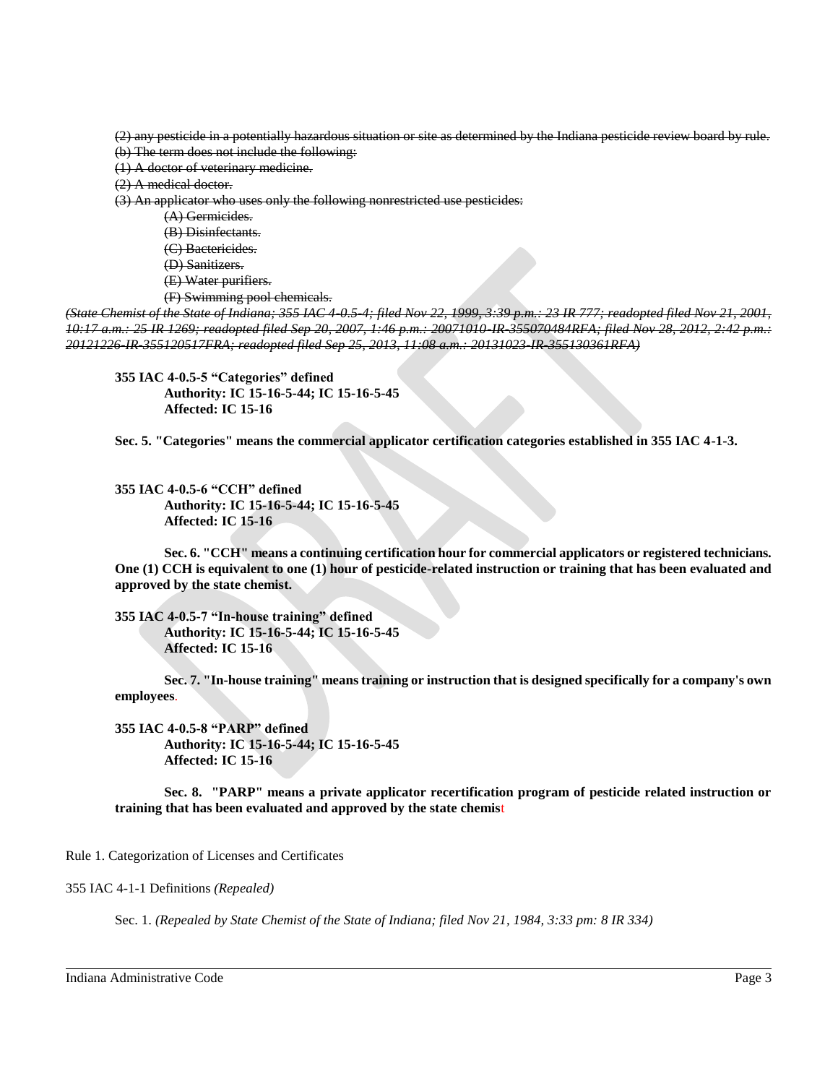(2) any pesticide in a potentially hazardous situation or site as determined by the Indiana pesticide review board by rule. (b) The term does not include the following:

(1) A doctor of veterinary medicine.

(2) A medical doctor.

(3) An applicator who uses only the following nonrestricted use pesticides:

- (A) Germicides.
- (B) Disinfectants.
- (C) Bactericides.
- (D) Sanitizers.
- (E) Water purifiers.
- (F) Swimming pool chemicals.

*(State Chemist of the State of Indiana; 355 IAC 4-0.5-4; filed Nov 22, 1999, 3:39 p.m.: 23 IR 777; readopted filed Nov 21, 2001, 10:17 a.m.: 25 IR 1269; readopted filed Sep 20, 2007, 1:46 p.m.: 20071010-IR-355070484RFA; filed Nov 28, 2012, 2:42 p.m.: 20121226-IR-355120517FRA; readopted filed Sep 25, 2013, 11:08 a.m.: 20131023-IR-355130361RFA)*

**355 IAC 4-0.5-5 "Categories" defined Authority: IC 15-16-5-44; IC 15-16-5-45 Affected: IC 15-16**

**Sec. 5. "Categories" means the commercial applicator certification categories established in 355 IAC 4-1-3.**

**355 IAC 4-0.5-6 "CCH" defined Authority: IC 15-16-5-44; IC 15-16-5-45 Affected: IC 15-16**

**Sec. 6. "CCH" means a continuing certification hour for commercial applicators or registered technicians. One (1) CCH is equivalent to one (1) hour of pesticide-related instruction or training that has been evaluated and approved by the state chemist.**

**355 IAC 4-0.5-7 "In-house training" defined Authority: IC 15-16-5-44; IC 15-16-5-45 Affected: IC 15-16**

**Sec. 7. "In-house training" means training or instruction that is designed specifically for a company's own employees**.

**355 IAC 4-0.5-8 "PARP" defined Authority: IC 15-16-5-44; IC 15-16-5-45 Affected: IC 15-16**

**Sec. 8. "PARP" means a private applicator recertification program of pesticide related instruction or training that has been evaluated and approved by the state chemis**t

Rule 1. Categorization of Licenses and Certificates

355 IAC 4-1-1 Definitions *(Repealed)*

Sec. 1. *(Repealed by State Chemist of the State of Indiana; filed Nov 21, 1984, 3:33 pm: 8 IR 334)*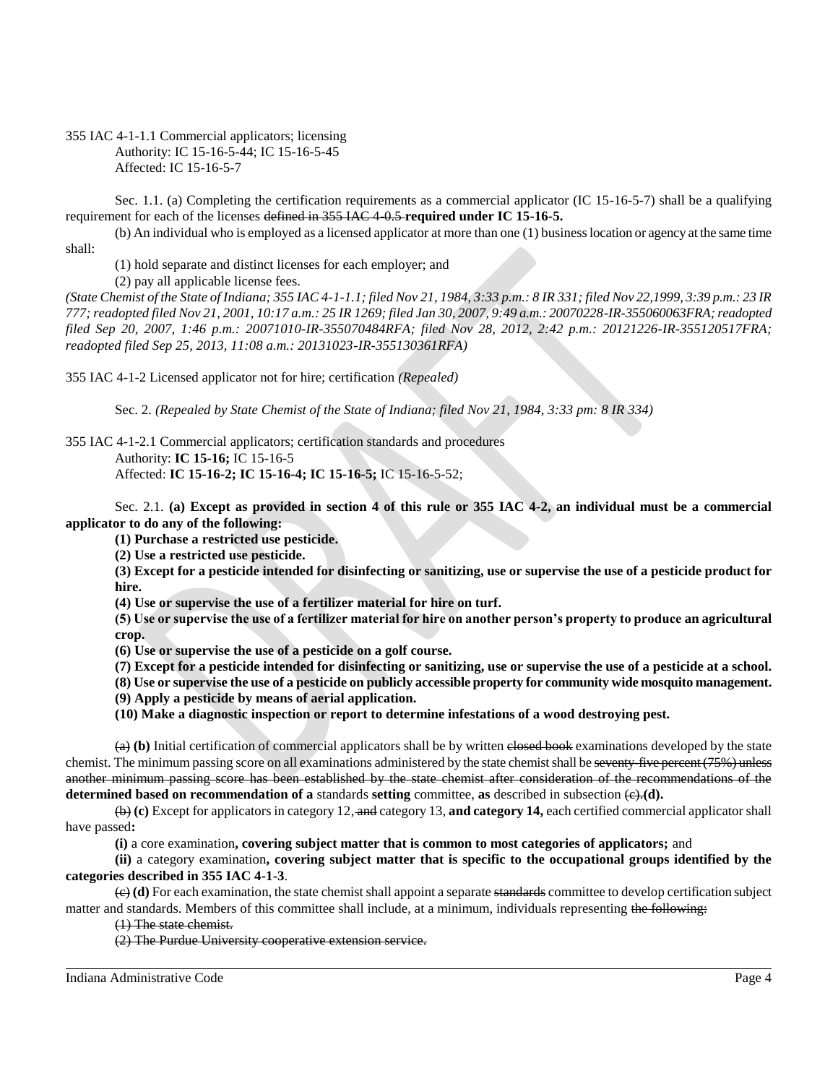355 IAC 4-1-1.1 Commercial applicators; licensing Authority: IC 15-16-5-44; IC 15-16-5-45 Affected: IC 15-16-5-7

Sec. 1.1. (a) Completing the certification requirements as a commercial applicator (IC 15-16-5-7) shall be a qualifying requirement for each of the licenses defined in 355 IAC 4-0.5 **required under IC 15-16-5.** 

(b) An individual who is employed as a licensed applicator at more than one (1) business location or agency at the same time shall:

(1) hold separate and distinct licenses for each employer; and

(2) pay all applicable license fees.

*(State Chemist of the State of Indiana; 355 IAC 4-1-1.1; filed Nov 21, 1984, 3:33 p.m.: 8 IR 331; filed Nov 22,1999, 3:39 p.m.: 23 IR 777; readopted filed Nov 21, 2001, 10:17 a.m.: 25 IR 1269; filed Jan 30, 2007, 9:49 a.m.: 20070228-IR-355060063FRA; readopted filed Sep 20, 2007, 1:46 p.m.: 20071010-IR-355070484RFA; filed Nov 28, 2012, 2:42 p.m.: 20121226-IR-355120517FRA; readopted filed Sep 25, 2013, 11:08 a.m.: 20131023-IR-355130361RFA)*

355 IAC 4-1-2 Licensed applicator not for hire; certification *(Repealed)*

Sec. 2. *(Repealed by State Chemist of the State of Indiana; filed Nov 21, 1984, 3:33 pm: 8 IR 334)*

355 IAC 4-1-2.1 Commercial applicators; certification standards and procedures Authority: **IC 15-16;** IC 15-16-5

Affected: **IC 15-16-2; IC 15-16-4; IC 15-16-5;** IC 15-16-5-52;

Sec. 2.1. **(a) Except as provided in section 4 of this rule or 355 IAC 4-2, an individual must be a commercial applicator to do any of the following:**

**(1) Purchase a restricted use pesticide.**

**(2) Use a restricted use pesticide.**

**(3) Except for a pesticide intended for disinfecting or sanitizing, use or supervise the use of a pesticide product for hire.**

**(4) Use or supervise the use of a fertilizer material for hire on turf.**

**(5) Use or supervise the use of a fertilizer material for hire on another person's property to produce an agricultural crop.** 

**(6) Use or supervise the use of a pesticide on a golf course.**

**(7) Except for a pesticide intended for disinfecting or sanitizing, use or supervise the use of a pesticide at a school.**

**(8) Use or supervise the use of a pesticide on publicly accessible property for community wide mosquito management.**

**(9) Apply a pesticide by means of aerial application.** 

**(10) Make a diagnostic inspection or report to determine infestations of a wood destroying pest.**

(a) **(b)** Initial certification of commercial applicators shall be by written closed book examinations developed by the state chemist. The minimum passing score on all examinations administered by the state chemist shall be seventy-five percent (75%) unless another minimum passing score has been established by the state chemist after consideration of the recommendations of the **determined based on recommendation of a** standards **setting** committee, as described in subsection  $\left(\frac{\partial}{\partial x}\right)$ .

(b) **(c)** Except for applicators in category 12, and category 13, **and category 14,** each certified commercial applicator shall have passed**:**

**(i)** a core examination**, covering subject matter that is common to most categories of applicators;** and

**(ii)** a category examination**, covering subject matter that is specific to the occupational groups identified by the categories described in 355 IAC 4-1-3**.

(c) **(d)** For each examination, the state chemist shall appoint a separate standards committee to develop certification subject matter and standards. Members of this committee shall include, at a minimum, individuals representing the following:

(1) The state chemist.

(2) The Purdue University cooperative extension service.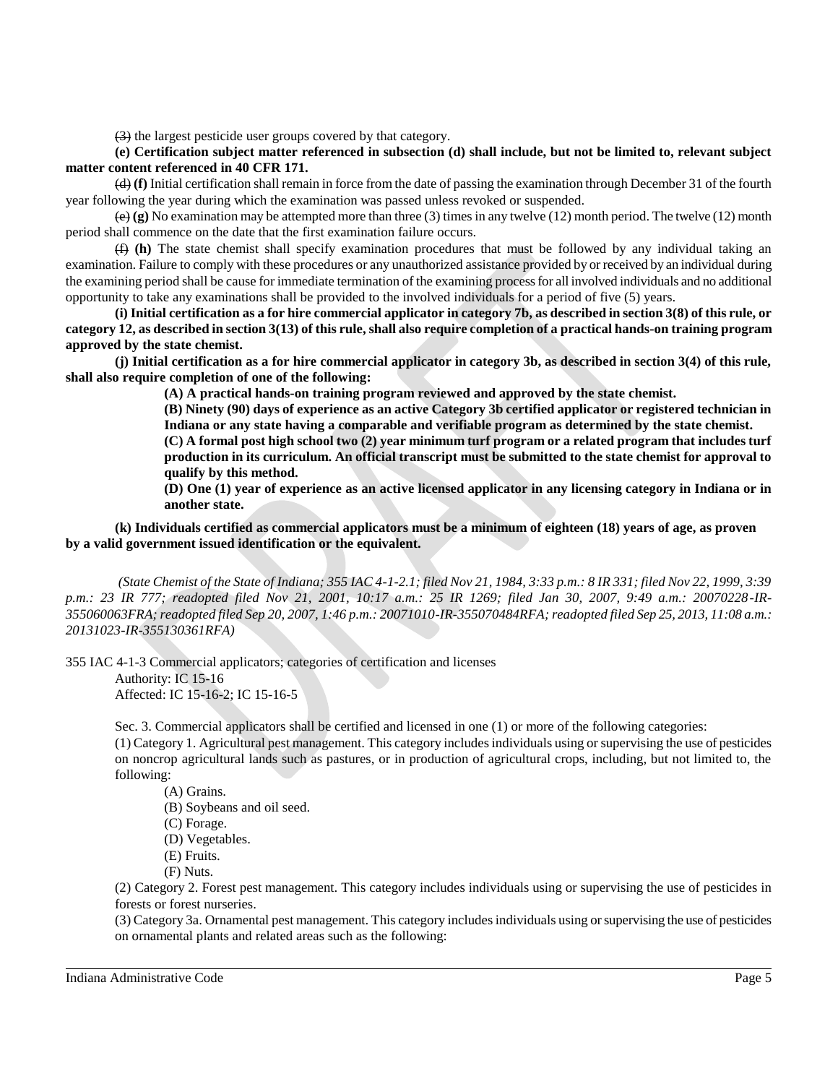(3) the largest pesticide user groups covered by that category.

**(e) Certification subject matter referenced in subsection (d) shall include, but not be limited to, relevant subject matter content referenced in 40 CFR 171.**

(d) **(f)** Initial certification shall remain in force from the date of passing the examination through December 31 of the fourth year following the year during which the examination was passed unless revoked or suspended.

(e) **(g)** No examination may be attempted more than three (3) times in any twelve (12) month period. The twelve (12) month period shall commence on the date that the first examination failure occurs.

(f) **(h)** The state chemist shall specify examination procedures that must be followed by any individual taking an examination. Failure to comply with these procedures or any unauthorized assistance provided by or received by an individual during the examining period shall be cause for immediate termination of the examining process for all involved individuals and no additional opportunity to take any examinations shall be provided to the involved individuals for a period of five (5) years.

**(i) Initial certification as a for hire commercial applicator in category 7b, as described in section 3(8) of this rule, or category 12, as described in section 3(13) of this rule, shall also require completion of a practical hands-on training program approved by the state chemist.**

**(j) Initial certification as a for hire commercial applicator in category 3b, as described in section 3(4) of this rule, shall also require completion of one of the following:**

**(A) A practical hands-on training program reviewed and approved by the state chemist.**

**(B) Ninety (90) days of experience as an active Category 3b certified applicator or registered technician in Indiana or any state having a comparable and verifiable program as determined by the state chemist.**

**(C) A formal post high school two (2) year minimum turf program or a related program that includes turf production in its curriculum. An official transcript must be submitted to the state chemist for approval to qualify by this method.**

**(D) One (1) year of experience as an active licensed applicator in any licensing category in Indiana or in another state.**

**(k) Individuals certified as commercial applicators must be a minimum of eighteen (18) years of age, as proven by a valid government issued identification or the equivalent.**

*(State Chemist of the State of Indiana; 355 IAC 4-1-2.1; filed Nov 21, 1984, 3:33 p.m.: 8 IR 331; filed Nov 22, 1999, 3:39 p.m.: 23 IR 777; readopted filed Nov 21, 2001, 10:17 a.m.: 25 IR 1269; filed Jan 30, 2007, 9:49 a.m.: 20070228-IR-355060063FRA; readopted filed Sep 20, 2007, 1:46 p.m.: 20071010-IR-355070484RFA; readopted filed Sep 25, 2013, 11:08 a.m.: 20131023-IR-355130361RFA)*

355 IAC 4-1-3 Commercial applicators; categories of certification and licenses

Authority: IC 15-16 Affected: IC 15-16-2; IC 15-16-5

Sec. 3. Commercial applicators shall be certified and licensed in one (1) or more of the following categories:

(1) Category 1. Agricultural pest management. This category includes individuals using or supervising the use of pesticides on noncrop agricultural lands such as pastures, or in production of agricultural crops, including, but not limited to, the following:

(A) Grains.

(B) Soybeans and oil seed.

(C) Forage.

(D) Vegetables.

(E) Fruits.

(F) Nuts.

(2) Category 2. Forest pest management. This category includes individuals using or supervising the use of pesticides in forests or forest nurseries.

(3) Category 3a. Ornamental pest management. This category includes individuals using or supervising the use of pesticides on ornamental plants and related areas such as the following: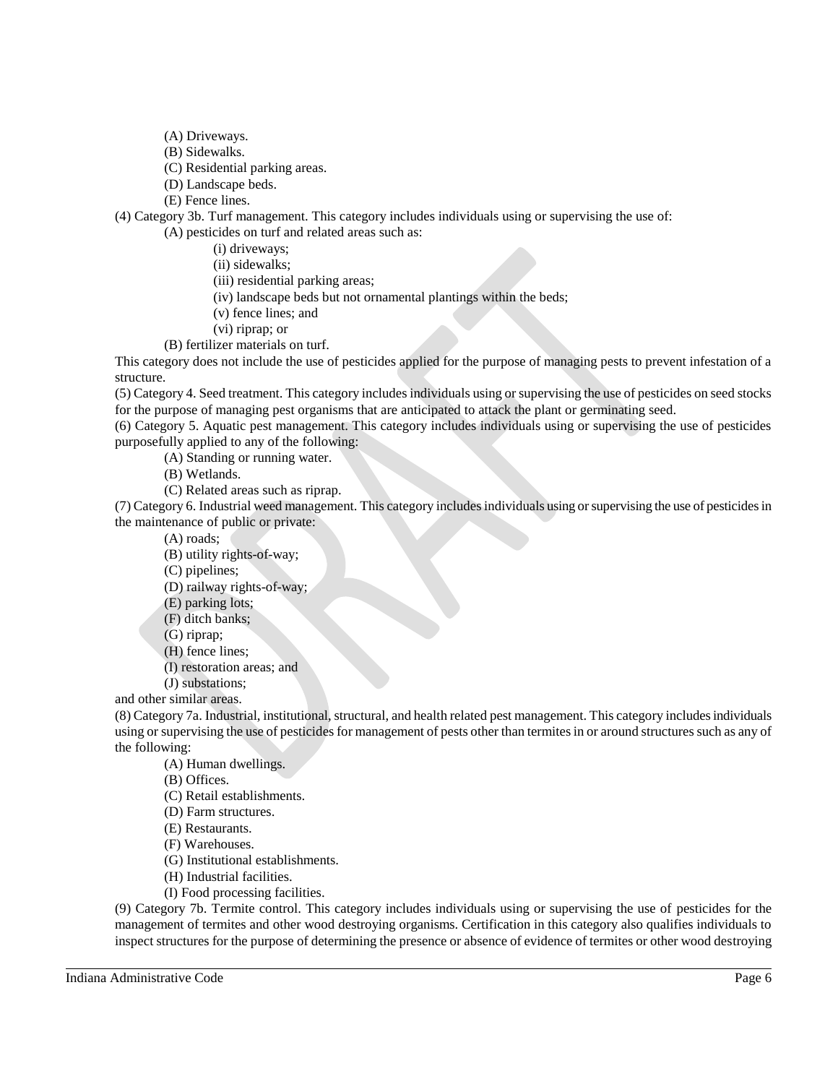- (A) Driveways.
- (B) Sidewalks.
- (C) Residential parking areas.
- (D) Landscape beds.
- (E) Fence lines.

(4) Category 3b. Turf management. This category includes individuals using or supervising the use of:

(A) pesticides on turf and related areas such as:

- (i) driveways;
- (ii) sidewalks;
- (iii) residential parking areas;
- (iv) landscape beds but not ornamental plantings within the beds;
- (v) fence lines; and
- (vi) riprap; or
- (B) fertilizer materials on turf.

This category does not include the use of pesticides applied for the purpose of managing pests to prevent infestation of a structure.

(5) Category 4. Seed treatment. This category includes individuals using or supervising the use of pesticides on seed stocks for the purpose of managing pest organisms that are anticipated to attack the plant or germinating seed.

(6) Category 5. Aquatic pest management. This category includes individuals using or supervising the use of pesticides purposefully applied to any of the following:

(A) Standing or running water.

- (B) Wetlands.
- (C) Related areas such as riprap.

(7) Category 6. Industrial weed management. This category includes individuals using or supervising the use of pesticides in the maintenance of public or private:

(A) roads;

(B) utility rights-of-way;

(C) pipelines;

(D) railway rights-of-way;

- (E) parking lots;
- (F) ditch banks;
- (G) riprap;
- (H) fence lines;
- (I) restoration areas; and

(J) substations;

and other similar areas.

(8) Category 7a. Industrial, institutional, structural, and health related pest management. This category includes individuals using or supervising the use of pesticides for management of pests other than termites in or around structures such as any of the following:

(A) Human dwellings.

(B) Offices.

- (C) Retail establishments.
- (D) Farm structures.
- (E) Restaurants.
- (F) Warehouses.
- (G) Institutional establishments.
- (H) Industrial facilities.
- (I) Food processing facilities.

(9) Category 7b. Termite control. This category includes individuals using or supervising the use of pesticides for the management of termites and other wood destroying organisms. Certification in this category also qualifies individuals to inspect structures for the purpose of determining the presence or absence of evidence of termites or other wood destroying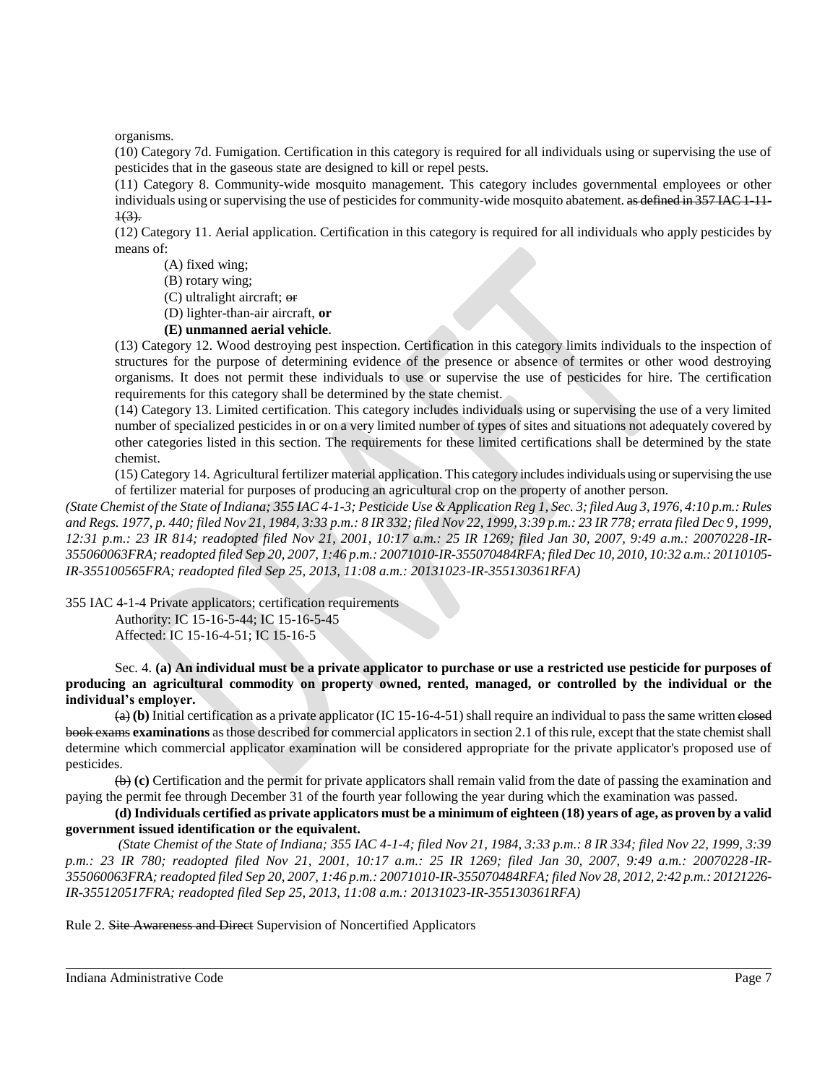organisms.

(10) Category 7d. Fumigation. Certification in this category is required for all individuals using or supervising the use of pesticides that in the gaseous state are designed to kill or repel pests.

(11) Category 8. Community-wide mosquito management. This category includes governmental employees or other individuals using or supervising the use of pesticides for community-wide mosquito abatement. as defined in 357 IAC 1-11- $1(3)$ .

(12) Category 11. Aerial application. Certification in this category is required for all individuals who apply pesticides by means of:

(A) fixed wing;

(B) rotary wing;

(C) ultralight aircraft; or

(D) lighter-than-air aircraft, **or**

## **(E) unmanned aerial vehicle**.

(13) Category 12. Wood destroying pest inspection. Certification in this category limits individuals to the inspection of structures for the purpose of determining evidence of the presence or absence of termites or other wood destroying organisms. It does not permit these individuals to use or supervise the use of pesticides for hire. The certification requirements for this category shall be determined by the state chemist.

(14) Category 13. Limited certification. This category includes individuals using or supervising the use of a very limited number of specialized pesticides in or on a very limited number of types of sites and situations not adequately covered by other categories listed in this section. The requirements for these limited certifications shall be determined by the state chemist.

(15) Category 14. Agricultural fertilizer material application. This category includes individuals using or supervising the use of fertilizer material for purposes of producing an agricultural crop on the property of another person.

*(State Chemist of the State of Indiana; 355 IAC 4-1-3; Pesticide Use & Application Reg 1, Sec. 3; filed Aug 3, 1976, 4:10 p.m.: Rules and Regs. 1977, p. 440; filed Nov 21, 1984, 3:33 p.m.: 8 IR 332; filed Nov 22, 1999, 3:39 p.m.: 23 IR 778; errata filed Dec 9, 1999, 12:31 p.m.: 23 IR 814; readopted filed Nov 21, 2001, 10:17 a.m.: 25 IR 1269; filed Jan 30, 2007, 9:49 a.m.: 20070228-IR-355060063FRA; readopted filed Sep 20, 2007, 1:46 p.m.: 20071010-IR-355070484RFA; filed Dec 10, 2010, 10:32 a.m.: 20110105- IR-355100565FRA; readopted filed Sep 25, 2013, 11:08 a.m.: 20131023-IR-355130361RFA)*

355 IAC 4-1-4 Private applicators; certification requirements

Authority: IC 15-16-5-44; IC 15-16-5-45 Affected: IC 15-16-4-51; IC 15-16-5

Sec. 4. **(a) An individual must be a private applicator to purchase or use a restricted use pesticide for purposes of producing an agricultural commodity on property owned, rented, managed, or controlled by the individual or the individual's employer.**

(a) **(b)** Initial certification as a private applicator (IC 15-16-4-51) shall require an individual to pass the same written closed book exams **examinations** as those described for commercial applicators in section 2.1 of this rule, except that the state chemist shall determine which commercial applicator examination will be considered appropriate for the private applicator's proposed use of pesticides.

(b) **(c)** Certification and the permit for private applicators shall remain valid from the date of passing the examination and paying the permit fee through December 31 of the fourth year following the year during which the examination was passed.

**(d) Individuals certified as private applicators must be a minimum of eighteen (18) years of age, as proven by a valid government issued identification or the equivalent.**

*(State Chemist of the State of Indiana; 355 IAC 4-1-4; filed Nov 21, 1984, 3:33 p.m.: 8 IR 334; filed Nov 22, 1999, 3:39 p.m.: 23 IR 780; readopted filed Nov 21, 2001, 10:17 a.m.: 25 IR 1269; filed Jan 30, 2007, 9:49 a.m.: 20070228-IR-355060063FRA; readopted filed Sep 20, 2007, 1:46 p.m.: 20071010-IR-355070484RFA; filed Nov 28, 2012, 2:42 p.m.: 20121226- IR-355120517FRA; readopted filed Sep 25, 2013, 11:08 a.m.: 20131023-IR-355130361RFA)*

Rule 2. Site Awareness and Direct Supervision of Noncertified Applicators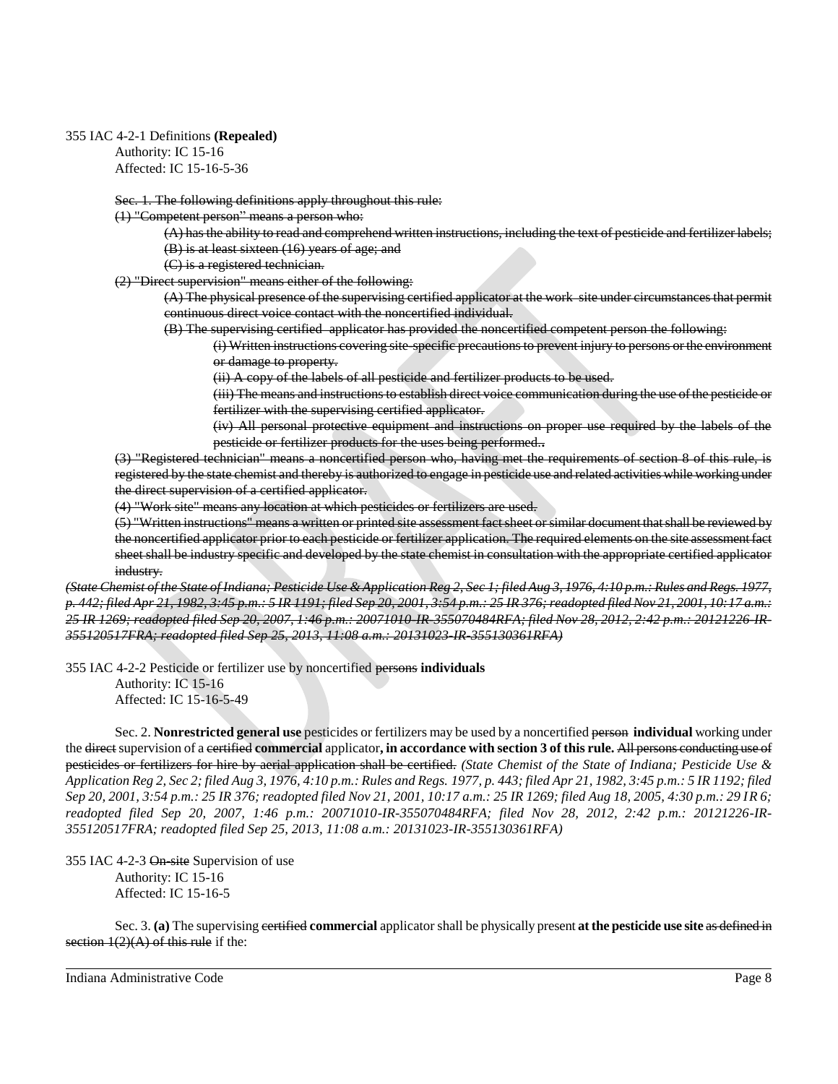### 355 IAC 4-2-1 Definitions **(Repealed)**

Authority: IC 15-16 Affected: IC 15-16-5-36

Sec. 1. The following definitions apply throughout this rule:

(1) "Competent person" means a person who:

(A) has the ability to read and comprehend written instructions, including the text of pesticide and fertilizer labels; (B) is at least sixteen (16) years of age; and

(C) is a registered technician.

(2) "Direct supervision" means either of the following:

(A) The physical presence of the supervising certified applicator at the work site under circumstances that permit continuous direct voice contact with the noncertified individual.

(B) The supervising certified applicator has provided the noncertified competent person the following:

(i) Written instructions covering site-specific precautions to prevent injury to persons or the environment or damage to property.

(ii) A copy of the labels of all pesticide and fertilizer products to be used.

(iii) The means and instructions to establish direct voice communication during the use of the pesticide or fertilizer with the supervising certified applicator.

(iv) All personal protective equipment and instructions on proper use required by the labels of the pesticide or fertilizer products for the uses being performed.**.**

(3) "Registered technician" means a noncertified person who, having met the requirements of section 8 of this rule, is registered by the state chemist and thereby is authorized to engage in pesticide use and related activities while working under the direct supervision of a certified applicator.

(4) "Work site" means any location at which pesticides or fertilizers are used.

(5) "Written instructions" means a written or printed site assessment fact sheet or similar document that shall be reviewed by the noncertified applicator prior to each pesticide or fertilizer application. The required elements on the site assessment fact sheet shall be industry specific and developed by the state chemist in consultation with the appropriate certified applicator industry.

*(State Chemist of the State of Indiana; Pesticide Use & Application Reg 2, Sec 1; filed Aug 3, 1976, 4:10 p.m.: Rules and Regs. 1977, p. 442; filed Apr 21, 1982, 3:45 p.m.: 5 IR 1191; filed Sep 20, 2001, 3:54 p.m.: 25 IR 376; readopted filed Nov 21, 2001, 10:17 a.m.:*  25 IR 1269; readopted filed Sep 20, 2007, 1:46 p.m.: 20071010-IR-355070484RFA; filed Nov 28, 2012, 2:42 p.m.: 20121226-IR-*355120517FRA; readopted filed Sep 25, 2013, 11:08 a.m.: 20131023-IR-355130361RFA)*

355 IAC 4-2-2 Pesticide or fertilizer use by noncertified persons **individuals** Authority: IC 15-16 Affected: IC 15-16-5-49

Sec. 2. **Nonrestricted general use** pesticides or fertilizers may be used by a noncertified person **individual** working under the direct supervision of a certified **commercial** applicator**, in accordance with section 3 of this rule.** All persons conducting use of pesticides or fertilizers for hire by aerial application shall be certified. *(State Chemist of the State of Indiana; Pesticide Use & Application Reg 2, Sec 2; filed Aug 3, 1976, 4:10 p.m.: Rules and Regs. 1977, p. 443; filed Apr 21, 1982, 3:45 p.m.: 5 IR 1192; filed Sep 20, 2001, 3:54 p.m.: 25 IR 376; readopted filed Nov 21, 2001, 10:17 a.m.: 25 IR 1269; filed Aug 18, 2005, 4:30 p.m.: 29 IR 6; readopted filed Sep 20, 2007, 1:46 p.m.: 20071010-IR-355070484RFA; filed Nov 28, 2012, 2:42 p.m.: 20121226-IR-355120517FRA; readopted filed Sep 25, 2013, 11:08 a.m.: 20131023-IR-355130361RFA)*

355 IAC 4-2-3 On-site Supervision of use Authority: IC 15-16 Affected: IC 15-16-5

Sec. 3. **(a)** The supervising certified **commercial** applicator shall be physically present **at the pesticide use site** as defined in section  $1(2)(A)$  of this rule if the: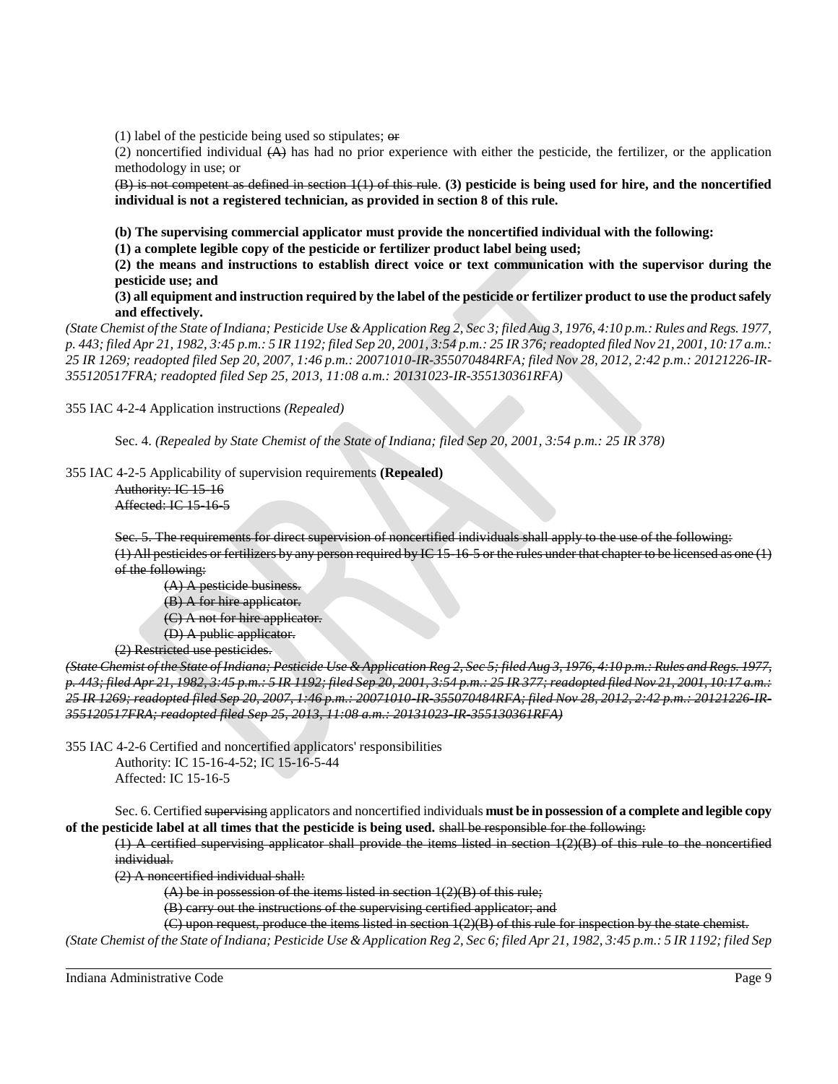(1) label of the pesticide being used so stipulates;  $\Theta$ **r** 

(2) noncertified individual  $(A)$  has had no prior experience with either the pesticide, the fertilizer, or the application methodology in use; or

(B) is not competent as defined in section 1(1) of this rule. **(3) pesticide is being used for hire, and the noncertified individual is not a registered technician, as provided in section 8 of this rule.** 

**(b) The supervising commercial applicator must provide the noncertified individual with the following:**

**(1) a complete legible copy of the pesticide or fertilizer product label being used;**

**(2) the means and instructions to establish direct voice or text communication with the supervisor during the pesticide use; and**

**(3) all equipment and instruction required by the label of the pesticide or fertilizer product to use the product safely and effectively.** 

*(State Chemist of the State of Indiana; Pesticide Use & Application Reg 2, Sec 3; filed Aug 3, 1976, 4:10 p.m.: Rules and Regs. 1977, p. 443; filed Apr 21, 1982, 3:45 p.m.: 5 IR 1192; filed Sep 20, 2001, 3:54 p.m.: 25 IR 376; readopted filed Nov 21, 2001, 10:17 a.m.: 25 IR 1269; readopted filed Sep 20, 2007, 1:46 p.m.: 20071010-IR-355070484RFA; filed Nov 28, 2012, 2:42 p.m.: 20121226-IR-355120517FRA; readopted filed Sep 25, 2013, 11:08 a.m.: 20131023-IR-355130361RFA)*

355 IAC 4-2-4 Application instructions *(Repealed)*

Sec. 4. *(Repealed by State Chemist of the State of Indiana; filed Sep 20, 2001, 3:54 p.m.: 25 IR 378)*

355 IAC 4-2-5 Applicability of supervision requirements **(Repealed)**

Authority: IC 15-16 Affected: IC 15-16-5

Sec. 5. The requirements for direct supervision of noncertified individuals shall apply to the use of the following: (1) All pesticides or fertilizers by any person required by IC 15-16-5 or the rules under that chapter to be licensed as one (1) of the following:

(A) A pesticide business. (B) A for hire applicator. (C) A not for hire applicator. (D) A public applicator. (2) Restricted use pesticides.

*(State Chemist of the State of Indiana; Pesticide Use & Application Reg 2, Sec 5; filed Aug 3, 1976, 4:10 p.m.: Rules and Regs. 1977, p. 443; filed Apr 21, 1982, 3:45 p.m.: 5 IR 1192; filed Sep 20, 2001, 3:54 p.m.: 25 IR 377; readopted filed Nov 21, 2001, 10:17 a.m.:*  25 IR 1269; readopted filed Sep 20, 2007, 1:46 p.m.: 20071010-IR-355070484RFA; filed Nov 28, 2012, 2:42 p.m.: 20121226-IR-*355120517FRA; readopted filed Sep 25, 2013, 11:08 a.m.: 20131023-IR-355130361RFA)*

355 IAC 4-2-6 Certified and noncertified applicators' responsibilities Authority: IC 15-16-4-52; IC 15-16-5-44 Affected: IC 15-16-5

Sec. 6. Certified supervising applicators and noncertified individuals **must be in possession of a complete and legible copy of the pesticide label at all times that the pesticide is being used.** shall be responsible for the following:

(1) A certified supervising applicator shall provide the items listed in section 1(2)(B) of this rule to the noncertified individual.

(2) A noncertified individual shall:

 $(A)$  be in possession of the items listed in section  $1(2)(B)$  of this rule;

(B) carry out the instructions of the supervising certified applicator; and

(C) upon request, produce the items listed in section 1(2)(B) of this rule for inspection by the state chemist.

*(State Chemist of the State of Indiana; Pesticide Use & Application Reg 2, Sec 6; filed Apr 21, 1982, 3:45 p.m.: 5 IR 1192; filed Sep*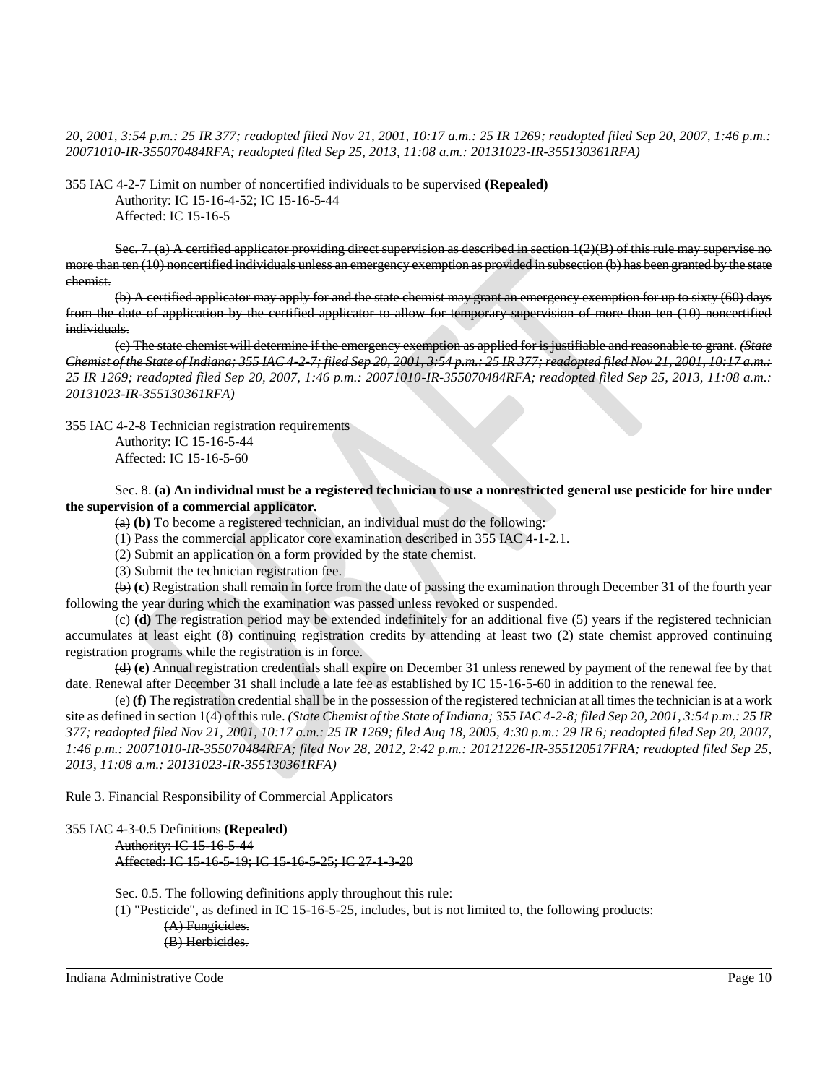*20, 2001, 3:54 p.m.: 25 IR 377; readopted filed Nov 21, 2001, 10:17 a.m.: 25 IR 1269; readopted filed Sep 20, 2007, 1:46 p.m.: 20071010-IR-355070484RFA; readopted filed Sep 25, 2013, 11:08 a.m.: 20131023-IR-355130361RFA)*

355 IAC 4-2-7 Limit on number of noncertified individuals to be supervised **(Repealed)** Authority: IC 15-16-4-52; IC 15-16-5-44 Affected: IC 15-16-5

Sec. 7. (a) A certified applicator providing direct supervision as described in section  $1(2)(B)$  of this rule may supervise no more than ten (10) noncertified individuals unless an emergency exemption as provided in subsection (b) has been granted by the state chemist.

(b) A certified applicator may apply for and the state chemist may grant an emergency exemption for up to sixty (60) days from the date of application by the certified applicator to allow for temporary supervision of more than ten (10) noncertified individuals.

(c) The state chemist will determine if the emergency exemption as applied for is justifiable and reasonable to grant. *(State Chemist of the State of Indiana; 355 IAC 4-2-7; filed Sep 20, 2001, 3:54 p.m.: 25 IR 377; readopted filed Nov 21, 2001, 10:17 a.m.: 25 IR 1269; readopted filed Sep 20, 2007, 1:46 p.m.: 20071010-IR-355070484RFA; readopted filed Sep 25, 2013, 11:08 a.m.: 20131023-IR-355130361RFA)*

355 IAC 4-2-8 Technician registration requirements Authority: IC 15-16-5-44 Affected: IC 15-16-5-60

Sec. 8. **(a) An individual must be a registered technician to use a nonrestricted general use pesticide for hire under the supervision of a commercial applicator.**

(a) **(b)** To become a registered technician, an individual must do the following:

(1) Pass the commercial applicator core examination described in 355 IAC 4-1-2.1.

(2) Submit an application on a form provided by the state chemist.

(3) Submit the technician registration fee.

(b) **(c)** Registration shall remain in force from the date of passing the examination through December 31 of the fourth year following the year during which the examination was passed unless revoked or suspended.

(c) **(d)** The registration period may be extended indefinitely for an additional five (5) years if the registered technician accumulates at least eight (8) continuing registration credits by attending at least two (2) state chemist approved continuing registration programs while the registration is in force.

(d) **(e)** Annual registration credentials shall expire on December 31 unless renewed by payment of the renewal fee by that date. Renewal after December 31 shall include a late fee as established by IC 15-16-5-60 in addition to the renewal fee.

(e) **(f)** The registration credential shall be in the possession of the registered technician at all times the technician is at a work site as defined in section 1(4) of this rule. *(State Chemist of the State of Indiana; 355 IAC 4-2-8; filed Sep 20, 2001, 3:54 p.m.: 25 IR 377; readopted filed Nov 21, 2001, 10:17 a.m.: 25 IR 1269; filed Aug 18, 2005, 4:30 p.m.: 29 IR 6; readopted filed Sep 20, 2007, 1:46 p.m.: 20071010-IR-355070484RFA; filed Nov 28, 2012, 2:42 p.m.: 20121226-IR-355120517FRA; readopted filed Sep 25, 2013, 11:08 a.m.: 20131023-IR-355130361RFA)*

Rule 3. Financial Responsibility of Commercial Applicators

```
355 IAC 4-3-0.5 Definitions (Repealed)
Authority: IC 15-16-5-44
Affected: IC 15-16-5-19; IC 15-16-5-25; IC 27-1-3-20
```
Sec. 0.5. The following definitions apply throughout this rule:  $(1)$  "Pesticide", as defined in IC 15-16-5-25, includes, but is not limited to, the following products: (A) Fungicides. (B) Herbicides.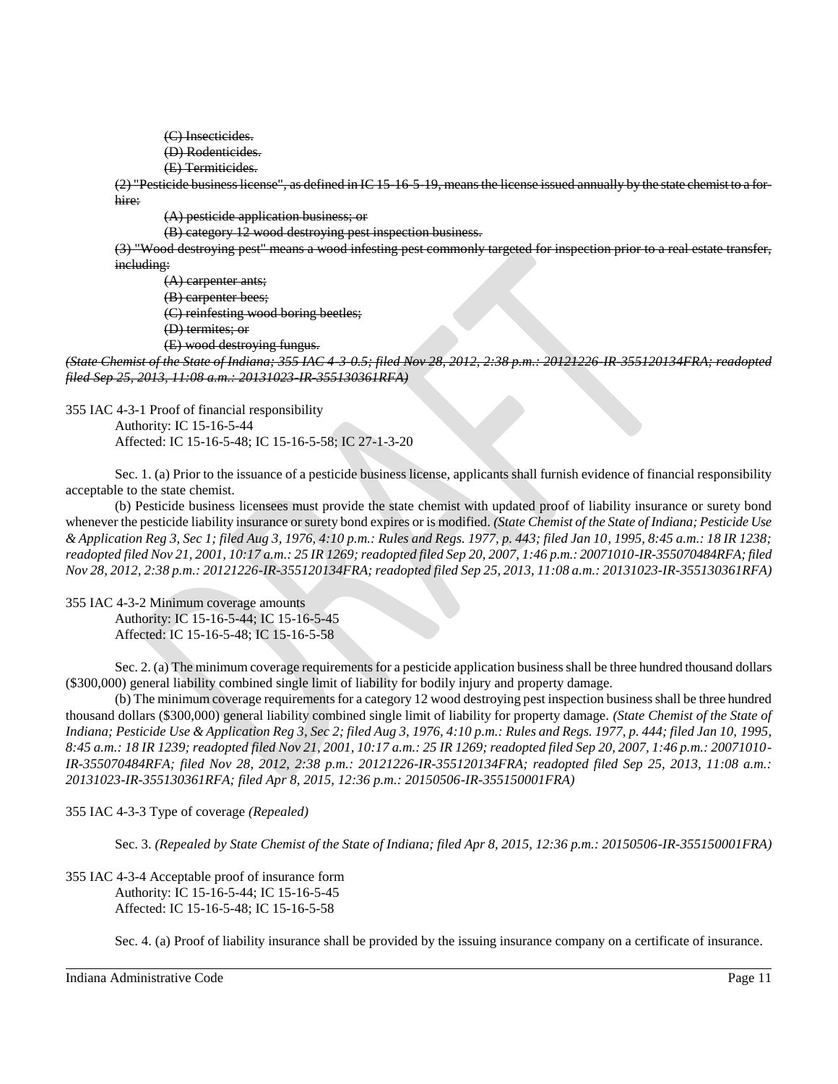- (C) Insecticides.
- (D) Rodenticides.
- (E) Termiticides.

(2) "Pesticide business license", as defined in IC 15-16-5-19, means the license issued annually by the state chemist to a forhire:

(A) pesticide application business; or

(B) category 12 wood destroying pest inspection business.

(3) "Wood destroying pest" means a wood infesting pest commonly targeted for inspection prior to a real estate transfer, including:

(A) carpenter ants; (B) carpenter bees; (C) reinfesting wood boring beetles;

(D) termites; or

(E) wood destroying fungus.

*(State Chemist of the State of Indiana; 355 IAC 4-3-0.5; filed Nov 28, 2012, 2:38 p.m.: 20121226-IR-355120134FRA; readopted filed Sep 25, 2013, 11:08 a.m.: 20131023-IR-355130361RFA)*

355 IAC 4-3-1 Proof of financial responsibility Authority: IC 15-16-5-44 Affected: IC 15-16-5-48; IC 15-16-5-58; IC 27-1-3-20

Sec. 1. (a) Prior to the issuance of a pesticide business license, applicants shall furnish evidence of financial responsibility acceptable to the state chemist.

(b) Pesticide business licensees must provide the state chemist with updated proof of liability insurance or surety bond whenever the pesticide liability insurance or surety bond expires or is modified. *(State Chemist of the State of Indiana; Pesticide Use & Application Reg 3, Sec 1; filed Aug 3, 1976, 4:10 p.m.: Rules and Regs. 1977, p. 443; filed Jan 10, 1995, 8:45 a.m.: 18 IR 1238; readopted filed Nov 21, 2001, 10:17 a.m.: 25 IR 1269; readopted filed Sep 20, 2007, 1:46 p.m.: 20071010-IR-355070484RFA; filed Nov 28, 2012, 2:38 p.m.: 20121226-IR-355120134FRA; readopted filed Sep 25, 2013, 11:08 a.m.: 20131023-IR-355130361RFA)*

355 IAC 4-3-2 Minimum coverage amounts Authority: IC 15-16-5-44; IC 15-16-5-45 Affected: IC 15-16-5-48; IC 15-16-5-58

Sec. 2. (a) The minimum coverage requirements for a pesticide application business shall be three hundred thousand dollars (\$300,000) general liability combined single limit of liability for bodily injury and property damage.

(b) The minimum coverage requirements for a category 12 wood destroying pest inspection business shall be three hundred thousand dollars (\$300,000) general liability combined single limit of liability for property damage. *(State Chemist of the State of Indiana; Pesticide Use & Application Reg 3, Sec 2; filed Aug 3, 1976, 4:10 p.m.: Rules and Regs. 1977, p. 444; filed Jan 10, 1995, 8:45 a.m.: 18 IR 1239; readopted filed Nov 21, 2001, 10:17 a.m.: 25 IR 1269; readopted filed Sep 20, 2007, 1:46 p.m.: 20071010- IR-355070484RFA; filed Nov 28, 2012, 2:38 p.m.: 20121226-IR-355120134FRA; readopted filed Sep 25, 2013, 11:08 a.m.: 20131023-IR-355130361RFA; filed Apr 8, 2015, 12:36 p.m.: 20150506-IR-355150001FRA)*

355 IAC 4-3-3 Type of coverage *(Repealed)*

Sec. 3. *(Repealed by State Chemist of the State of Indiana; filed Apr 8, 2015, 12:36 p.m.: 20150506-IR-355150001FRA)*

355 IAC 4-3-4 Acceptable proof of insurance form Authority: IC 15-16-5-44; IC 15-16-5-45 Affected: IC 15-16-5-48; IC 15-16-5-58

Sec. 4. (a) Proof of liability insurance shall be provided by the issuing insurance company on a certificate of insurance.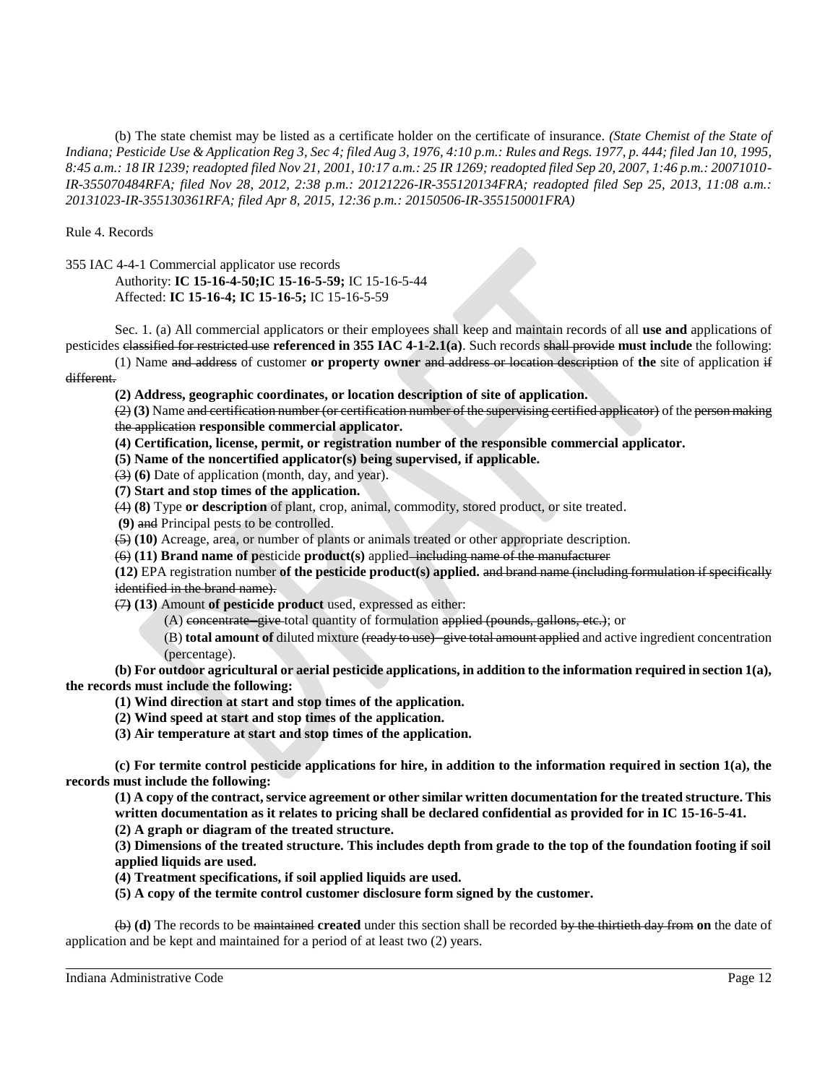(b) The state chemist may be listed as a certificate holder on the certificate of insurance. *(State Chemist of the State of Indiana; Pesticide Use & Application Reg 3, Sec 4; filed Aug 3, 1976, 4:10 p.m.: Rules and Regs. 1977, p. 444; filed Jan 10, 1995, 8:45 a.m.: 18 IR 1239; readopted filed Nov 21, 2001, 10:17 a.m.: 25 IR 1269; readopted filed Sep 20, 2007, 1:46 p.m.: 20071010- IR-355070484RFA; filed Nov 28, 2012, 2:38 p.m.: 20121226-IR-355120134FRA; readopted filed Sep 25, 2013, 11:08 a.m.: 20131023-IR-355130361RFA; filed Apr 8, 2015, 12:36 p.m.: 20150506-IR-355150001FRA)*

Rule 4. Records

355 IAC 4-4-1 Commercial applicator use records

Authority: **IC 15-16-4-50;IC 15-16-5-59;** IC 15-16-5-44 Affected: **IC 15-16-4; IC 15-16-5;** IC 15-16-5-59

Sec. 1. (a) All commercial applicators or their employees shall keep and maintain records of all **use and** applications of pesticides classified for restricted use **referenced in 355 IAC 4-1-2.1(a)**. Such records shall provide **must include** the following:

(1) Name and address of customer **or property owner** and address or location description of **the** site of application if different.

**(2) Address, geographic coordinates, or location description of site of application.**

(2) **(3)** Name and certification number (or certification number of the supervising certified applicator) of the person making the application **responsible commercial applicator.**

- **(4) Certification, license, permit, or registration number of the responsible commercial applicator.**
- **(5) Name of the noncertified applicator(s) being supervised, if applicable.**

(3) **(6)** Date of application (month, day, and year).

**(7) Start and stop times of the application.**

(4) **(8)** Type **or description** of plant, crop, animal, commodity, stored product, or site treated.

**(9)** and Principal pests to be controlled.

(5) **(10)** Acreage, area, or number of plants or animals treated or other appropriate description.

(6) **(11) Brand name of p**esticide **product(s)** applied including name of the manufacturer

**(12)** EPA registration number **of the pesticide product(s) applied.** and brand name (including formulation if specifically identified in the brand name).

(7**) (13)** Amount **of pesticide product** used, expressed as either:

(A) concentrate—give-total quantity of formulation applied (pounds, gallons, etc.); or

(B) **total amount of** diluted mixture (ready to use)─give total amount applied and active ingredient concentration (percentage).

**(b) For outdoor agricultural or aerial pesticide applications, in addition to the information required in section 1(a), the records must include the following:**

**(1) Wind direction at start and stop times of the application.**

**(2) Wind speed at start and stop times of the application.**

**(3) Air temperature at start and stop times of the application.**

**(c) For termite control pesticide applications for hire, in addition to the information required in section 1(a), the records must include the following:**

**(1) A copy of the contract, service agreement or other similar written documentation for the treated structure. This written documentation as it relates to pricing shall be declared confidential as provided for in IC 15-16-5-41.**

**(2) A graph or diagram of the treated structure.**

**(3) Dimensions of the treated structure. This includes depth from grade to the top of the foundation footing if soil applied liquids are used.**

**(4) Treatment specifications, if soil applied liquids are used.**

**(5) A copy of the termite control customer disclosure form signed by the customer.**

(b) **(d)** The records to be maintained **created** under this section shall be recorded by the thirtieth day from **on** the date of application and be kept and maintained for a period of at least two (2) years.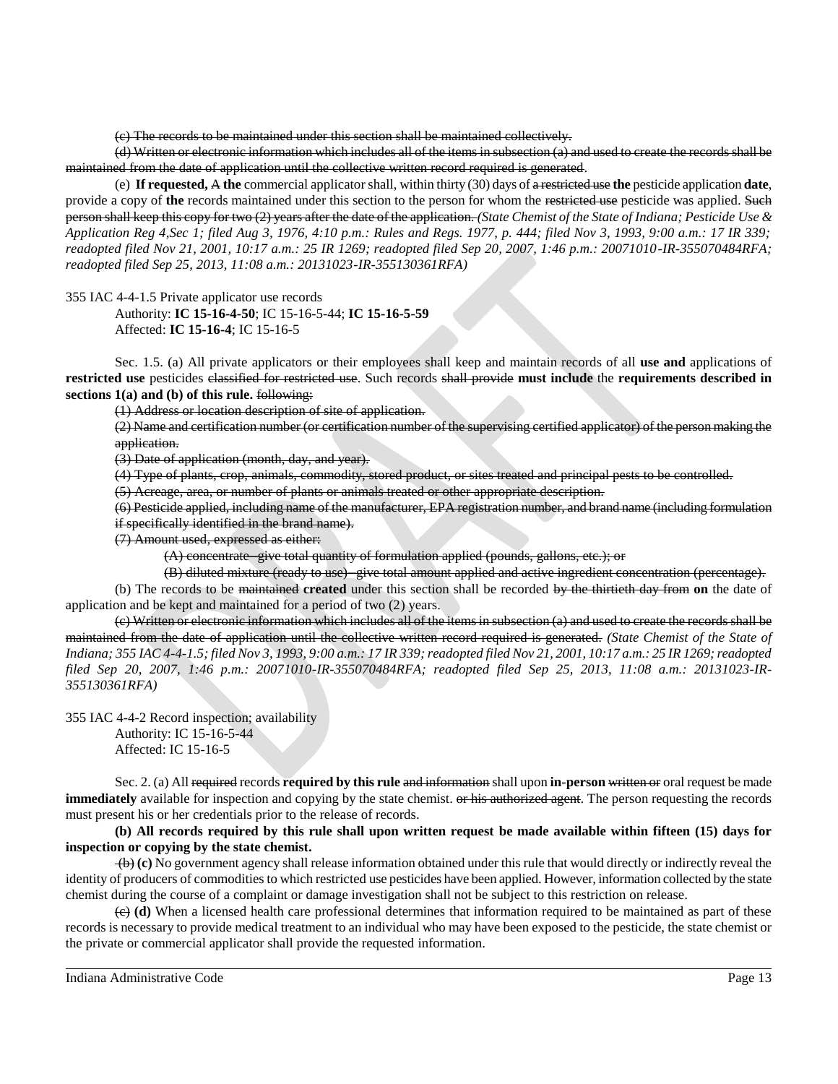(c) The records to be maintained under this section shall be maintained collectively.

(d) Written or electronic information which includes all of the items in subsection (a) and used to create the records shall be maintained from the date of application until the collective written record required is generated.

(e) **If requested,** A **the** commercial applicator shall, within thirty (30) days of a restricted use **the** pesticide application **date**, provide a copy of the records maintained under this section to the person for whom the restricted use pesticide was applied. Such person shall keep this copy for two (2) years after the date of the application. *(State Chemist of the State of Indiana; Pesticide Use & Application Reg 4,Sec 1; filed Aug 3, 1976, 4:10 p.m.: Rules and Regs. 1977, p. 444; filed Nov 3, 1993, 9:00 a.m.: 17 IR 339; readopted filed Nov 21, 2001, 10:17 a.m.: 25 IR 1269; readopted filed Sep 20, 2007, 1:46 p.m.: 20071010-IR-355070484RFA; readopted filed Sep 25, 2013, 11:08 a.m.: 20131023-IR-355130361RFA)*

355 IAC 4-4-1.5 Private applicator use records

Authority: **IC 15-16-4-50**; IC 15-16-5-44; **IC 15-16-5-59** Affected: **IC 15-16-4**; IC 15-16-5

Sec. 1.5. (a) All private applicators or their employees shall keep and maintain records of all **use and** applications of **restricted use** pesticides classified for restricted use. Such records shall provide **must include** the **requirements described in sections 1(a) and (b) of this rule.** following:

(1) Address or location description of site of application.

(2) Name and certification number (or certification number of the supervising certified applicator) of the person making the application.

(3) Date of application (month, day, and year).

(4) Type of plants, crop, animals, commodity, stored product, or sites treated and principal pests to be controlled.

(5) Acreage, area, or number of plants or animals treated or other appropriate description.

(6) Pesticide applied, including name of the manufacturer, EPA registration number, and brand name (including formulation if specifically identified in the brand name).

(7) Amount used, expressed as either:

(A) concentrate─give total quantity of formulation applied (pounds, gallons, etc.); or

(B) diluted mixture (ready to use)─give total amount applied and active ingredient concentration (percentage).

(b) The records to be maintained **created** under this section shall be recorded by the thirtieth day from **on** the date of application and be kept and maintained for a period of two (2) years.

(c) Written or electronic information which includes all of the items in subsection (a) and used to create the records shall be maintained from the date of application until the collective written record required is generated. *(State Chemist of the State of Indiana; 355 IAC 4-4-1.5; filed Nov 3, 1993, 9:00 a.m.: 17 IR 339; readopted filed Nov 21, 2001, 10:17 a.m.: 25 IR 1269; readopted filed Sep 20, 2007, 1:46 p.m.: 20071010-IR-355070484RFA; readopted filed Sep 25, 2013, 11:08 a.m.: 20131023-IR-355130361RFA)*

355 IAC 4-4-2 Record inspection; availability Authority: IC 15-16-5-44 Affected: IC 15-16-5

Sec. 2. (a) All required records **required by this rule** and information shall upon **in-person** written or oral request be made **immediately** available for inspection and copying by the state chemist. <del>or his authorized agent</del>. The person requesting the records must present his or her credentials prior to the release of records.

**(b) All records required by this rule shall upon written request be made available within fifteen (15) days for inspection or copying by the state chemist.** 

(b) **(c)** No government agency shall release information obtained under this rule that would directly or indirectly reveal the identity of producers of commodities to which restricted use pesticides have been applied. However, information collected by the state chemist during the course of a complaint or damage investigation shall not be subject to this restriction on release.

(c) **(d)** When a licensed health care professional determines that information required to be maintained as part of these records is necessary to provide medical treatment to an individual who may have been exposed to the pesticide, the state chemist or the private or commercial applicator shall provide the requested information.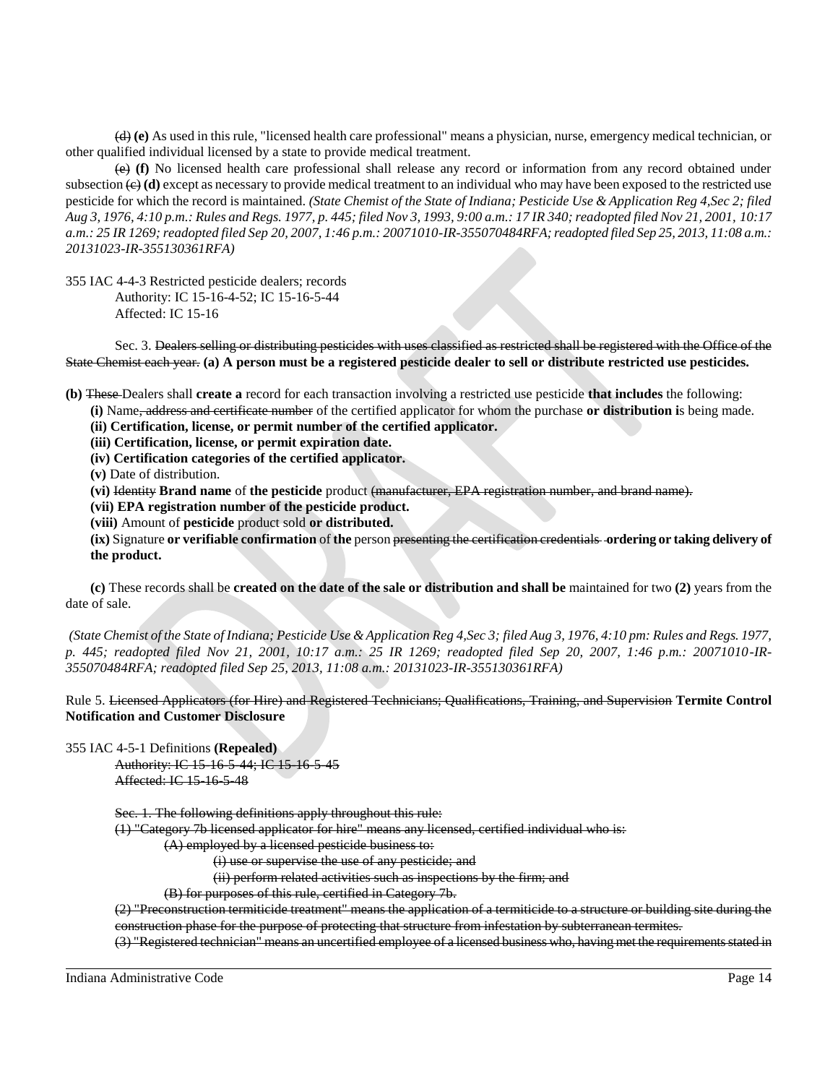(d) **(e)** As used in this rule, "licensed health care professional" means a physician, nurse, emergency medical technician, or other qualified individual licensed by a state to provide medical treatment.

(e) **(f)** No licensed health care professional shall release any record or information from any record obtained under subsection  $\leftrightarrow$  **(d)** except as necessary to provide medical treatment to an individual who may have been exposed to the restricted use pesticide for which the record is maintained. *(State Chemist of the State of Indiana; Pesticide Use & Application Reg 4,Sec 2; filed Aug 3, 1976, 4:10 p.m.: Rules and Regs. 1977, p. 445; filed Nov 3, 1993, 9:00 a.m.: 17 IR 340; readopted filed Nov 21, 2001, 10:17 a.m.: 25 IR 1269; readopted filed Sep 20, 2007, 1:46 p.m.: 20071010-IR-355070484RFA; readopted filed Sep 25, 2013, 11:08 a.m.: 20131023-IR-355130361RFA)*

355 IAC 4-4-3 Restricted pesticide dealers; records Authority: IC 15-16-4-52; IC 15-16-5-44 Affected: IC 15-16

Sec. 3. Dealers selling or distributing pesticides with uses classified as restricted shall be registered with the Office of the State Chemist each year. **(a) A person must be a registered pesticide dealer to sell or distribute restricted use pesticides.** 

**(b)** These Dealers shall **create a** record for each transaction involving a restricted use pesticide **that includes** the following:

**(i)** Name, address and certificate number of the certified applicator for whom the purchase **or distribution i**s being made.

**(ii) Certification, license, or permit number of the certified applicator.**

**(iii) Certification, license, or permit expiration date.**

**(iv) Certification categories of the certified applicator.**

**(v)** Date of distribution.

**(vi)** Identity **Brand name** of **the pesticide** product (manufacturer, EPA registration number, and brand name).

**(vii) EPA registration number of the pesticide product.**

**(viii)** Amount of **pesticide** product sold **or distributed.**

**(ix)** Signature **or verifiable confirmation** of **the** person presenting the certification credentials **ordering or taking delivery of the product.**

**(c)** These records shall be **created on the date of the sale or distribution and shall be** maintained for two **(2)** years from the date of sale.

*(State Chemist of the State of Indiana; Pesticide Use & Application Reg 4,Sec 3; filed Aug 3, 1976, 4:10 pm: Rules and Regs. 1977, p. 445; readopted filed Nov 21, 2001, 10:17 a.m.: 25 IR 1269; readopted filed Sep 20, 2007, 1:46 p.m.: 20071010-IR-355070484RFA; readopted filed Sep 25, 2013, 11:08 a.m.: 20131023-IR-355130361RFA)*

Rule 5. Licensed Applicators (for Hire) and Registered Technicians; Qualifications, Training, and Supervision **Termite Control Notification and Customer Disclosure**

355 IAC 4-5-1 Definitions **(Repealed)**

Authority: IC 15-16-5-44; IC 15-16-5-45 Affected: IC 15-16-5-48

Sec. 1. The following definitions apply throughout this rule:

(1) "Category 7b licensed applicator for hire" means any licensed, certified individual who is:

(A) employed by a licensed pesticide business to:

(i) use or supervise the use of any pesticide; and

(ii) perform related activities such as inspections by the firm; and

(B) for purposes of this rule, certified in Category 7b.

(2) "Preconstruction termiticide treatment" means the application of a termiticide to a structure or building site during the construction phase for the purpose of protecting that structure from infestation by subterranean termites.

(3) "Registered technician" means an uncertified employee of a licensed business who, having met the requirements stated in

Indiana Administrative Code Page 14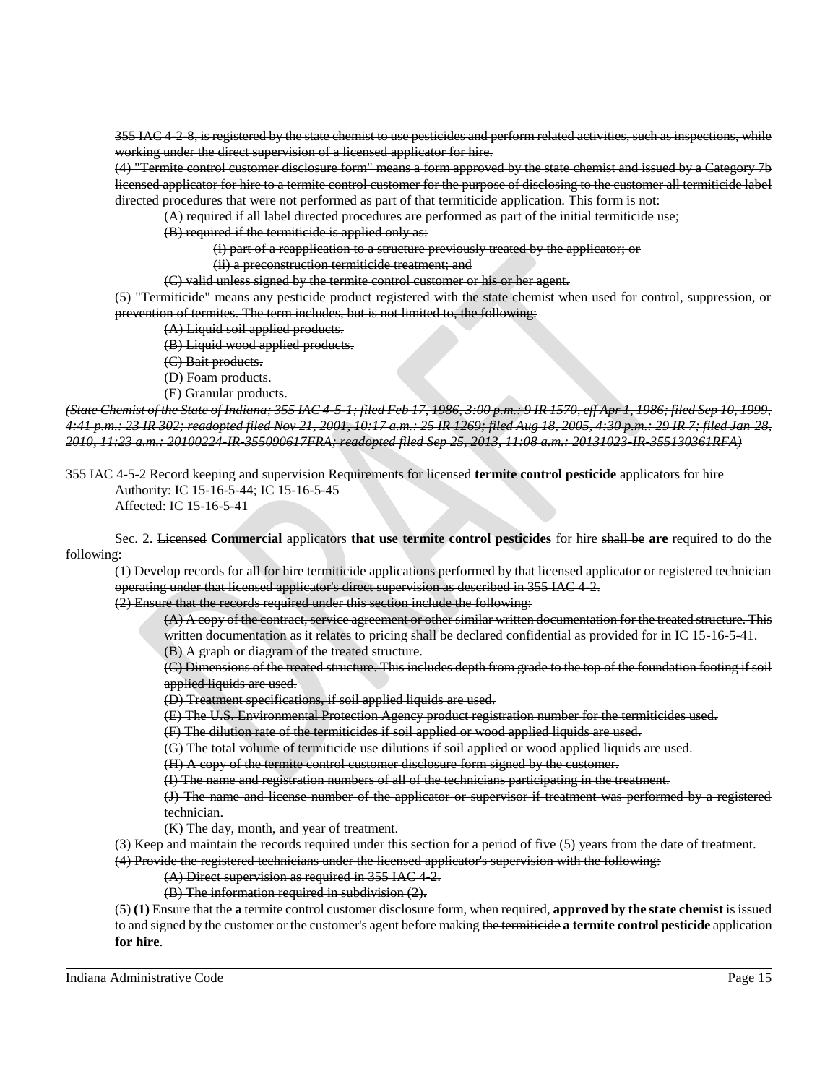355 IAC 4-2-8, is registered by the state chemist to use pesticides and perform related activities, such as inspections, while working under the direct supervision of a licensed applicator for hire.

(4) "Termite control customer disclosure form" means a form approved by the state chemist and issued by a Category 7b licensed applicator for hire to a termite control customer for the purpose of disclosing to the customer all termiticide label directed procedures that were not performed as part of that termiticide application. This form is not:

(A) required if all label directed procedures are performed as part of the initial termiticide use;

(B) required if the termiticide is applied only as:

(i) part of a reapplication to a structure previously treated by the applicator; or

(ii) a preconstruction termiticide treatment; and

(C) valid unless signed by the termite control customer or his or her agent.

(5) "Termiticide" means any pesticide product registered with the state chemist when used for control, suppression, or prevention of termites. The term includes, but is not limited to, the following:

(A) Liquid soil applied products.

(B) Liquid wood applied products.

(C) Bait products.

(D) Foam products.

(E) Granular products.

*(State Chemist of the State of Indiana; 355 IAC 4-5-1; filed Feb 17, 1986, 3:00 p.m.: 9 IR 1570, eff Apr 1, 1986; filed Sep 10, 1999, 4:41 p.m.: 23 IR 302; readopted filed Nov 21, 2001, 10:17 a.m.: 25 IR 1269; filed Aug 18, 2005, 4:30 p.m.: 29 IR 7; filed Jan 28, 2010, 11:23 a.m.: 20100224-IR-355090617FRA; readopted filed Sep 25, 2013, 11:08 a.m.: 20131023-IR-355130361RFA)*

355 IAC 4-5-2 Record keeping and supervision Requirements for licensed **termite control pesticide** applicators for hire Authority: IC 15-16-5-44; IC 15-16-5-45

Affected: IC 15-16-5-41

Sec. 2. Licensed **Commercial** applicators **that use termite control pesticides** for hire shall be **are** required to do the following:

(1) Develop records for all for hire termiticide applications performed by that licensed applicator or registered technician operating under that licensed applicator's direct supervision as described in 355 IAC 4-2.

(2) Ensure that the records required under this section include the following:

(A) A copy of the contract, service agreement or other similar written documentation for the treated structure. This written documentation as it relates to pricing shall be declared confidential as provided for in IC 15-16-5-41. (B) A graph or diagram of the treated structure.

(C) Dimensions of the treated structure. This includes depth from grade to the top of the foundation footing if soil applied liquids are used.

(D) Treatment specifications, if soil applied liquids are used.

(E) The U.S. Environmental Protection Agency product registration number for the termiticides used.

(F) The dilution rate of the termiticides if soil applied or wood applied liquids are used.

(G) The total volume of termiticide use dilutions if soil applied or wood applied liquids are used.

(H) A copy of the termite control customer disclosure form signed by the customer.

(I) The name and registration numbers of all of the technicians participating in the treatment.

(J) The name and license number of the applicator or supervisor if treatment was performed by a registered technician.

(K) The day, month, and year of treatment.

(3) Keep and maintain the records required under this section for a period of five (5) years from the date of treatment. (4) Provide the registered technicians under the licensed applicator's supervision with the following:

 $(A)$  Direct supervision as required in 355 IAC 4-2.

(B) The information required in subdivision (2).

(5) **(1)** Ensure that the **a** termite control customer disclosure form, when required, **approved by the state chemist** is issued to and signed by the customer or the customer's agent before making the termiticide **a termite control pesticide** application **for hire**.

Indiana Administrative Code Page 15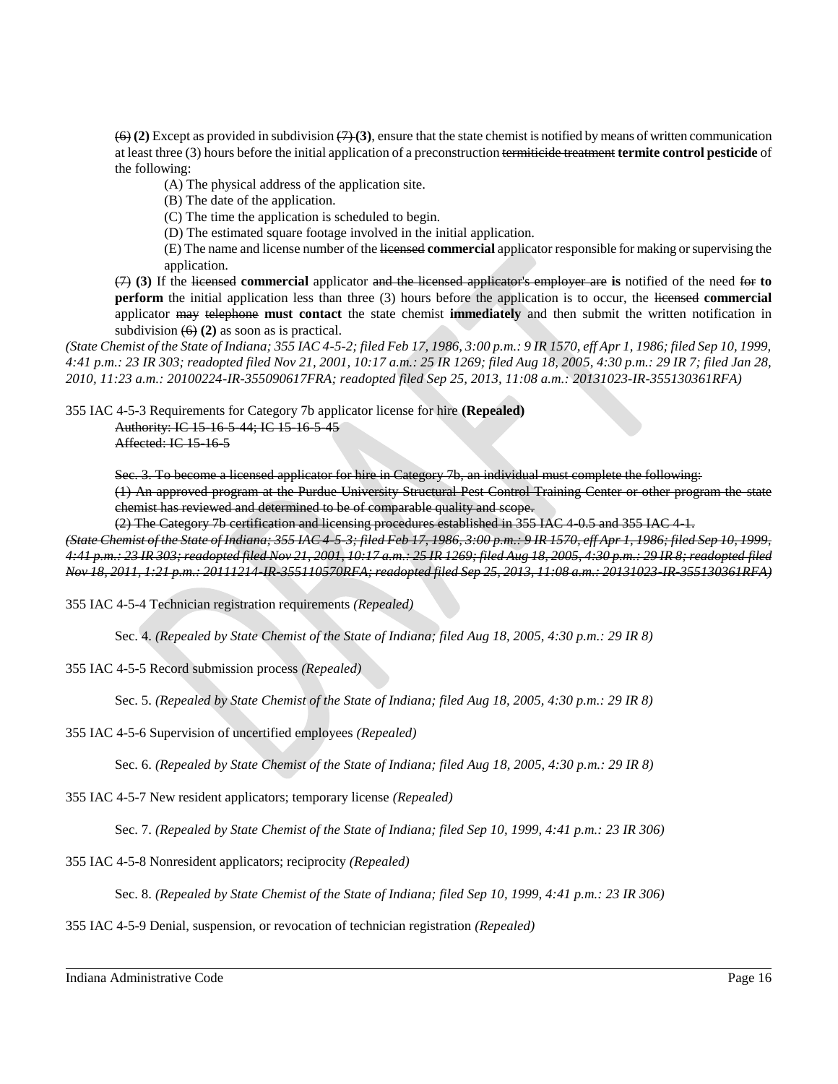$(6)$  (2) Except as provided in subdivision  $(7)$  (3), ensure that the state chemist is notified by means of written communication at least three (3) hours before the initial application of a preconstruction termiticide treatment **termite control pesticide** of the following:

(A) The physical address of the application site.

(B) The date of the application.

(C) The time the application is scheduled to begin.

(D) The estimated square footage involved in the initial application.

(E) The name and license number of the licensed **commercial** applicator responsible for making or supervising the application.

(7) **(3)** If the licensed **commercial** applicator and the licensed applicator's employer are **is** notified of the need for **to perform** the initial application less than three (3) hours before the application is to occur, the licensed **commercial** applicator may telephone **must contact** the state chemist **immediately** and then submit the written notification in subdivision  $(6)$  (2) as soon as is practical.

*(State Chemist of the State of Indiana; 355 IAC 4-5-2; filed Feb 17, 1986, 3:00 p.m.: 9 IR 1570, eff Apr 1, 1986; filed Sep 10, 1999, 4:41 p.m.: 23 IR 303; readopted filed Nov 21, 2001, 10:17 a.m.: 25 IR 1269; filed Aug 18, 2005, 4:30 p.m.: 29 IR 7; filed Jan 28, 2010, 11:23 a.m.: 20100224-IR-355090617FRA; readopted filed Sep 25, 2013, 11:08 a.m.: 20131023-IR-355130361RFA)*

355 IAC 4-5-3 Requirements for Category 7b applicator license for hire **(Repealed)** Authority: IC 15-16-5-44; IC 15-16-5-45 Affected: IC 15-16-5

Sec. 3. To become a licensed applicator for hire in Category 7b, an individual must complete the following:

(1) An approved program at the Purdue University Structural Pest Control Training Center or other program the state chemist has reviewed and determined to be of comparable quality and scope.

(2) The Category 7b certification and licensing procedures established in 355 IAC 4-0.5 and 355 IAC 4-1.

*(State Chemist of the State of Indiana; 355 IAC 4-5-3; filed Feb 17, 1986, 3:00 p.m.: 9 IR 1570, eff Apr 1, 1986; filed Sep 10, 1999, 4:41 p.m.: 23 IR 303; readopted filed Nov 21, 2001, 10:17 a.m.: 25 IR 1269; filed Aug 18, 2005, 4:30 p.m.: 29 IR 8; readopted filed Nov 18, 2011, 1:21 p.m.: 20111214-IR-355110570RFA; readopted filed Sep 25, 2013, 11:08 a.m.: 20131023-IR-355130361RFA)*

355 IAC 4-5-4 Technician registration requirements *(Repealed)*

Sec. 4. *(Repealed by State Chemist of the State of Indiana; filed Aug 18, 2005, 4:30 p.m.: 29 IR 8)*

355 IAC 4-5-5 Record submission process *(Repealed)*

Sec. 5. *(Repealed by State Chemist of the State of Indiana; filed Aug 18, 2005, 4:30 p.m.: 29 IR 8)*

355 IAC 4-5-6 Supervision of uncertified employees *(Repealed)*

Sec. 6. *(Repealed by State Chemist of the State of Indiana; filed Aug 18, 2005, 4:30 p.m.: 29 IR 8)*

355 IAC 4-5-7 New resident applicators; temporary license *(Repealed)*

Sec. 7. *(Repealed by State Chemist of the State of Indiana; filed Sep 10, 1999, 4:41 p.m.: 23 IR 306)*

355 IAC 4-5-8 Nonresident applicators; reciprocity *(Repealed)*

Sec. 8. *(Repealed by State Chemist of the State of Indiana; filed Sep 10, 1999, 4:41 p.m.: 23 IR 306)*

355 IAC 4-5-9 Denial, suspension, or revocation of technician registration *(Repealed)*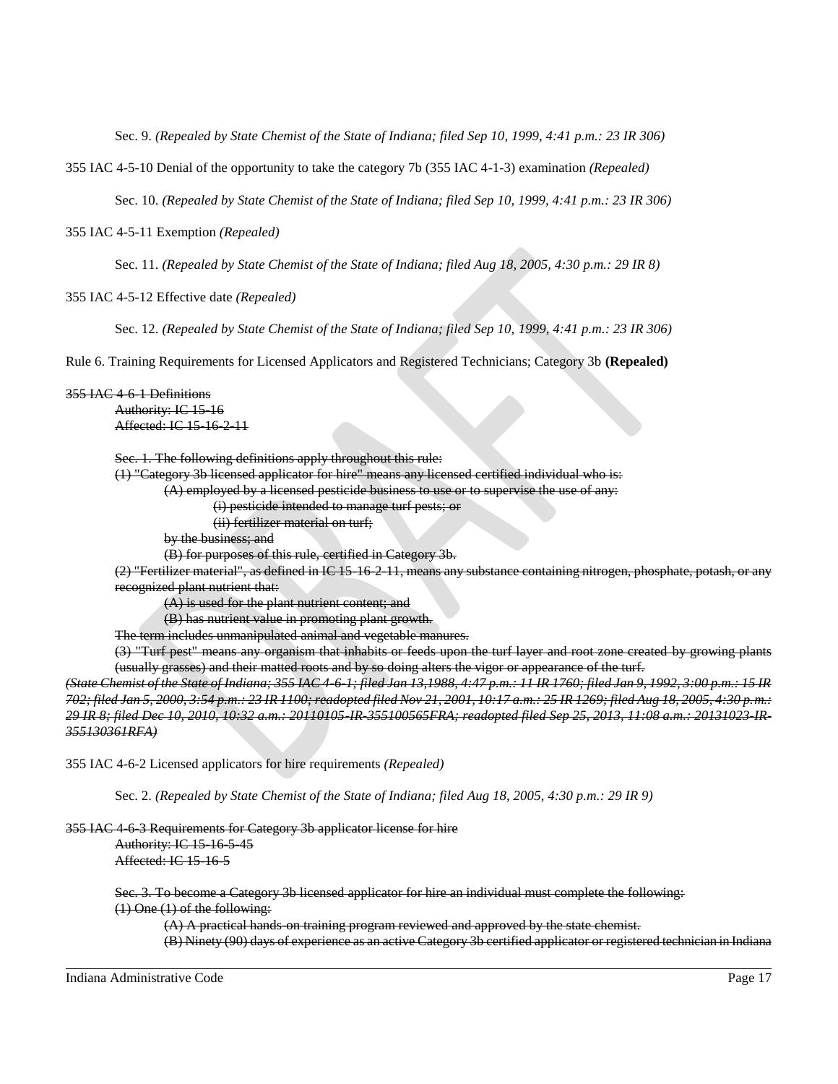Sec. 9. *(Repealed by State Chemist of the State of Indiana; filed Sep 10, 1999, 4:41 p.m.: 23 IR 306)*

355 IAC 4-5-10 Denial of the opportunity to take the category 7b (355 IAC 4-1-3) examination *(Repealed)*

Sec. 10. *(Repealed by State Chemist of the State of Indiana; filed Sep 10, 1999, 4:41 p.m.: 23 IR 306)*

355 IAC 4-5-11 Exemption *(Repealed)*

Sec. 11. *(Repealed by State Chemist of the State of Indiana; filed Aug 18, 2005, 4:30 p.m.: 29 IR 8)*

355 IAC 4-5-12 Effective date *(Repealed)*

Sec. 12. *(Repealed by State Chemist of the State of Indiana; filed Sep 10, 1999, 4:41 p.m.: 23 IR 306)*

Rule 6. Training Requirements for Licensed Applicators and Registered Technicians; Category 3b **(Repealed)**

#### 355 IAC 4-6-1 Definitions

Authority: IC 15-16 Affected: IC 15-16-2-11

Sec. 1. The following definitions apply throughout this rule:

(1) "Category 3b licensed applicator for hire" means any licensed certified individual who is:

(A) employed by a licensed pesticide business to use or to supervise the use of any:

(i) pesticide intended to manage turf pests; or

(ii) fertilizer material on turf;

by the business; and

(B) for purposes of this rule, certified in Category 3b.

(2) "Fertilizer material", as defined in IC 15-16-2-11, means any substance containing nitrogen, phosphate, potash, or any recognized plant nutrient that:

(A) is used for the plant nutrient content; and

(B) has nutrient value in promoting plant growth.

The term includes unmanipulated animal and vegetable manures.

(3) "Turf pest" means any organism that inhabits or feeds upon the turf layer and root zone created by growing plants (usually grasses) and their matted roots and by so doing alters the vigor or appearance of the turf.

*(State Chemist of the State of Indiana; 355 IAC 4-6-1; filed Jan 13,1988, 4:47 p.m.: 11 IR 1760; filed Jan 9, 1992, 3:00 p.m.: 15 IR 702; filed Jan 5, 2000, 3:54 p.m.: 23 IR 1100; readopted filed Nov 21, 2001, 10:17 a.m.: 25 IR 1269; filed Aug 18, 2005, 4:30 p.m.: 29 IR 8; filed Dec 10, 2010, 10:32 a.m.: 20110105-IR-355100565FRA; readopted filed Sep 25, 2013, 11:08 a.m.: 20131023-IR-355130361RFA)*

355 IAC 4-6-2 Licensed applicators for hire requirements *(Repealed)*

Sec. 2. *(Repealed by State Chemist of the State of Indiana; filed Aug 18, 2005, 4:30 p.m.: 29 IR 9)*

### 355 IAC 4-6-3 Requirements for Category 3b applicator license for hire

Authority: IC 15-16-5-45 Affected: IC 15-16-5

Sec. 3. To become a Category 3b licensed applicator for hire an individual must complete the following:

(1) One (1) of the following:

(A) A practical hands-on training program reviewed and approved by the state chemist.

(B) Ninety (90) days of experience as an active Category 3b certified applicator or registered technician in Indiana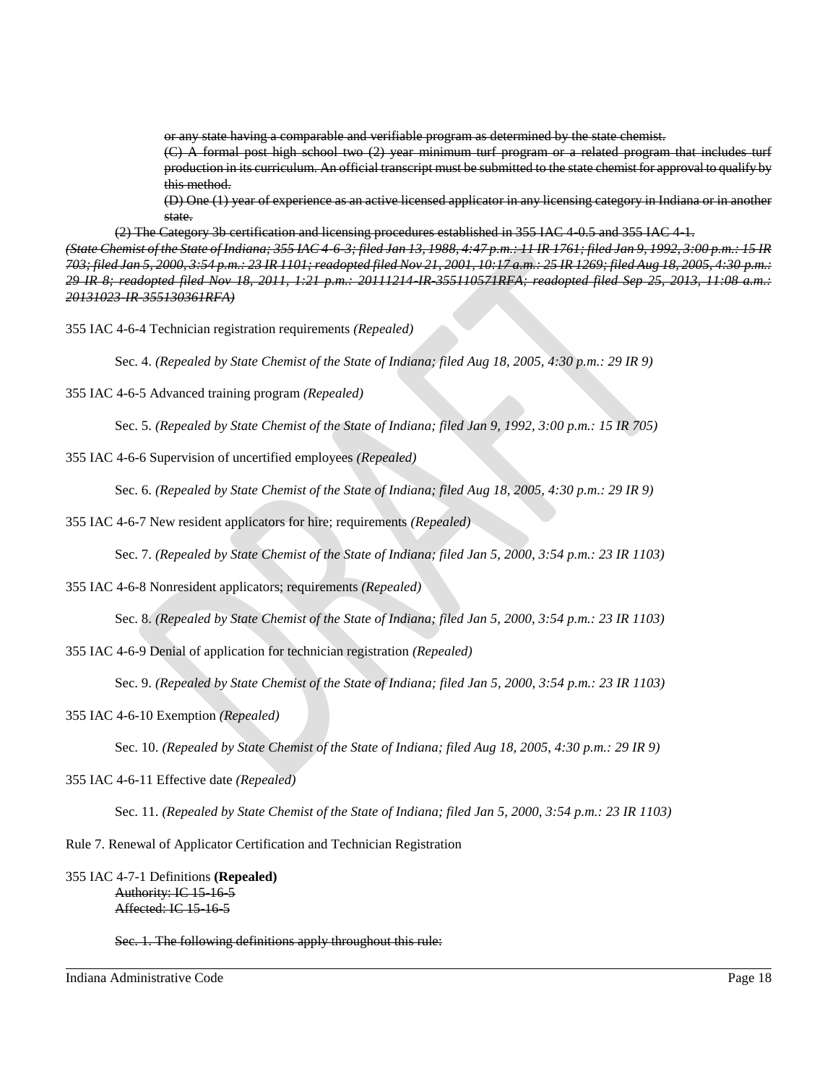or any state having a comparable and verifiable program as determined by the state chemist.

(C) A formal post high school two (2) year minimum turf program or a related program that includes turf production in its curriculum. An official transcript must be submitted to the state chemist for approval to qualify by this method.

(D) One (1) year of experience as an active licensed applicator in any licensing category in Indiana or in another state.

(2) The Category 3b certification and licensing procedures established in 355 IAC 4-0.5 and 355 IAC 4-1.

*(State Chemist of the State of Indiana; 355 IAC 4-6-3; filed Jan 13, 1988, 4:47 p.m.: 11 IR 1761; filed Jan 9, 1992, 3:00 p.m.: 15 IR 703; filed Jan 5, 2000, 3:54 p.m.: 23 IR 1101; readopted filed Nov 21, 2001, 10:17 a.m.: 25 IR 1269; filed Aug 18, 2005, 4:30 p.m.: 29 IR 8; readopted filed Nov 18, 2011, 1:21 p.m.: 20111214-IR-355110571RFA; readopted filed Sep 25, 2013, 11:08 a.m.: 20131023-IR-355130361RFA)*

355 IAC 4-6-4 Technician registration requirements *(Repealed)*

Sec. 4. *(Repealed by State Chemist of the State of Indiana; filed Aug 18, 2005, 4:30 p.m.: 29 IR 9)*

355 IAC 4-6-5 Advanced training program *(Repealed)*

Sec. 5. *(Repealed by State Chemist of the State of Indiana; filed Jan 9, 1992, 3:00 p.m.: 15 IR 705)*

355 IAC 4-6-6 Supervision of uncertified employees *(Repealed)*

Sec. 6. *(Repealed by State Chemist of the State of Indiana; filed Aug 18, 2005, 4:30 p.m.: 29 IR 9)*

355 IAC 4-6-7 New resident applicators for hire; requirements *(Repealed)*

Sec. 7. *(Repealed by State Chemist of the State of Indiana; filed Jan 5, 2000, 3:54 p.m.: 23 IR 1103)*

355 IAC 4-6-8 Nonresident applicators; requirements *(Repealed)*

Sec. 8. *(Repealed by State Chemist of the State of Indiana; filed Jan 5, 2000, 3:54 p.m.: 23 IR 1103)*

355 IAC 4-6-9 Denial of application for technician registration *(Repealed)*

Sec. 9. *(Repealed by State Chemist of the State of Indiana; filed Jan 5, 2000, 3:54 p.m.: 23 IR 1103)*

355 IAC 4-6-10 Exemption *(Repealed)*

Sec. 10. *(Repealed by State Chemist of the State of Indiana; filed Aug 18, 2005, 4:30 p.m.: 29 IR 9)*

355 IAC 4-6-11 Effective date *(Repealed)*

Sec. 11. *(Repealed by State Chemist of the State of Indiana; filed Jan 5, 2000, 3:54 p.m.: 23 IR 1103)*

Rule 7. Renewal of Applicator Certification and Technician Registration

355 IAC 4-7-1 Definitions **(Repealed)** Authority: IC 15-16-5 Affected: IC 15-16-5

Sec. 1. The following definitions apply throughout this rule: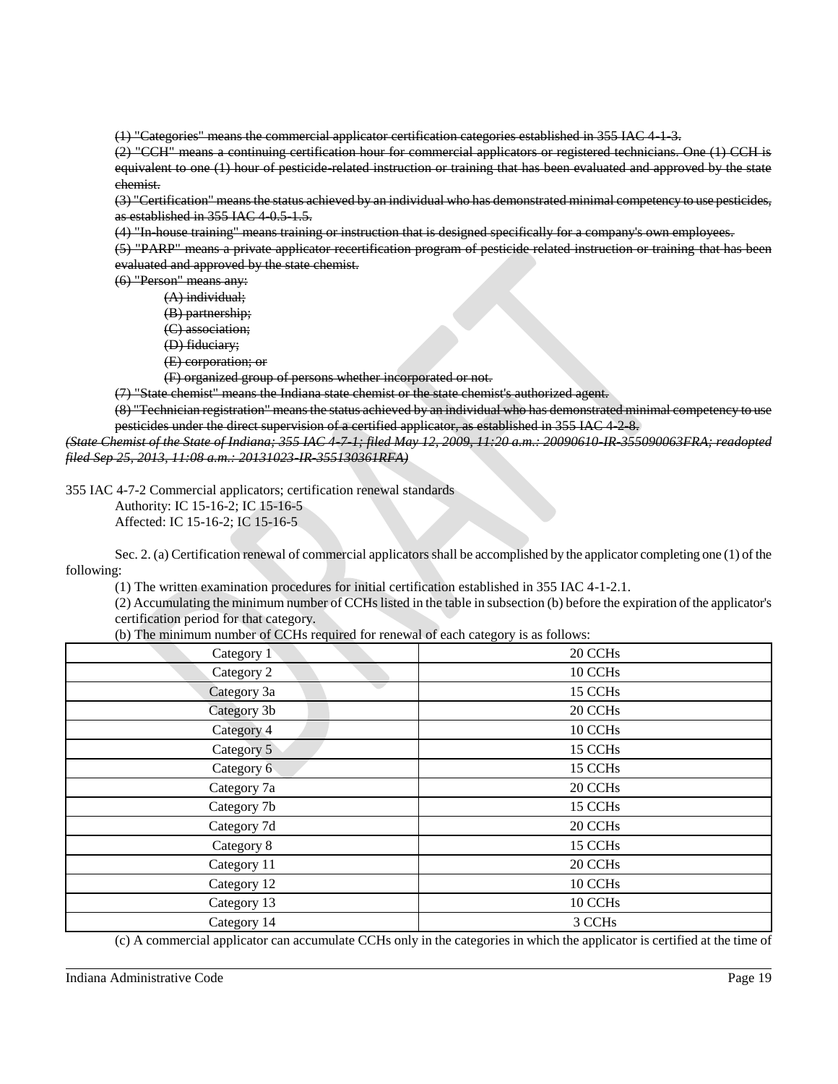(1) "Categories" means the commercial applicator certification categories established in 355 IAC 4-1-3.

(2) "CCH" means a continuing certification hour for commercial applicators or registered technicians. One (1) CCH is equivalent to one (1) hour of pesticide related instruction or training that has been evaluated and approved by the state chemist.

(3) "Certification" means the status achieved by an individual who has demonstrated minimal competency to use pesticides, as established in 355 IAC 4 0.5 1.5.

(4) "In-house training" means training or instruction that is designed specifically for a company's own employees.

(5) "PARP" means a private applicator recertification program of pesticide related instruction or training that has been evaluated and approved by the state chemist.

(6) "Person" means any:

- (A) individual;
- (B) partnership;
- (C) association;
- (D) fiduciary;
- (E) corporation; or

(F) organized group of persons whether incorporated or not.

(7) "State chemist" means the Indiana state chemist or the state chemist's authorized agent.

(8) "Technician registration" means the status achieved by an individual who has demonstrated minimal competency to use pesticides under the direct supervision of a certified applicator, as established in 355 IAC 4-2-8.

*(State Chemist of the State of Indiana; 355 IAC 4-7-1; filed May 12, 2009, 11:20 a.m.: 20090610-IR-355090063FRA; readopted filed Sep 25, 2013, 11:08 a.m.: 20131023-IR-355130361RFA)*

355 IAC 4-7-2 Commercial applicators; certification renewal standards

Authority: IC 15-16-2; IC 15-16-5

Affected: IC 15-16-2; IC 15-16-5

Sec. 2. (a) Certification renewal of commercial applicators shall be accomplished by the applicator completing one (1) of the following:

(1) The written examination procedures for initial certification established in 355 IAC 4-1-2.1.

(2) Accumulating the minimum number of CCHs listed in the table in subsection (b) before the expiration of the applicator's certification period for that category.

(b) The minimum number of CCHs required for renewal of each category is as follows:

| Category 1  | 20 CCHs             |
|-------------|---------------------|
| Category 2  | 10 CCH <sub>s</sub> |
| Category 3a | 15 CCH <sub>s</sub> |
| Category 3b | 20 CCHs             |
| Category 4  | 10 CCH <sub>s</sub> |
| Category 5  | 15 CCHs             |
| Category 6  | 15 CCHs             |
| Category 7a | 20 CCHs             |
| Category 7b | 15 CCHs             |
| Category 7d | 20 CCHs             |
| Category 8  | 15 CCH <sub>s</sub> |
| Category 11 | 20 CCHs             |
| Category 12 | 10 CCH <sub>s</sub> |
| Category 13 | 10 CCH <sub>s</sub> |
| Category 14 | 3 CCH <sub>s</sub>  |

(c) A commercial applicator can accumulate CCHs only in the categories in which the applicator is certified at the time of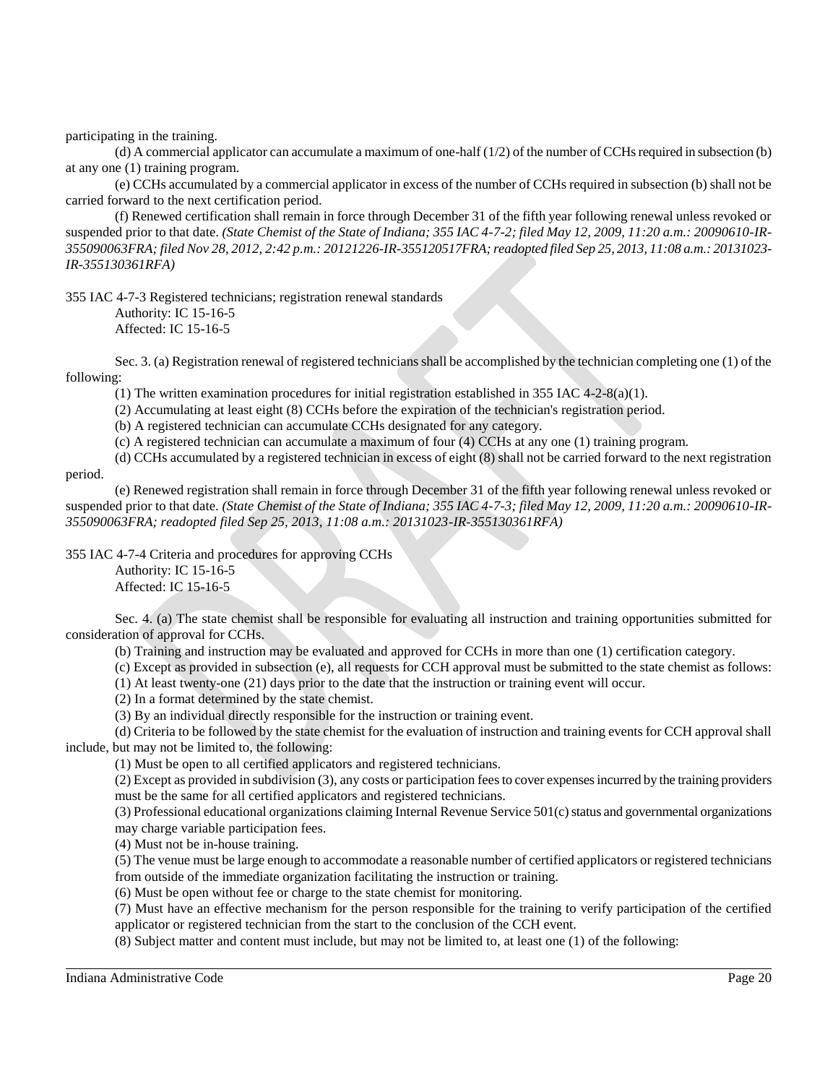participating in the training.

(d) A commercial applicator can accumulate a maximum of one-half  $(1/2)$  of the number of CCHs required in subsection (b) at any one (1) training program.

(e) CCHs accumulated by a commercial applicator in excess of the number of CCHs required in subsection (b) shall not be carried forward to the next certification period.

(f) Renewed certification shall remain in force through December 31 of the fifth year following renewal unless revoked or suspended prior to that date. *(State Chemist of the State of Indiana; 355 IAC 4-7-2; filed May 12, 2009, 11:20 a.m.: 20090610-IR-355090063FRA; filed Nov 28, 2012, 2:42 p.m.: 20121226-IR-355120517FRA; readopted filed Sep 25, 2013, 11:08 a.m.: 20131023- IR-355130361RFA)*

355 IAC 4-7-3 Registered technicians; registration renewal standards

Authority: IC 15-16-5 Affected: IC 15-16-5

Sec. 3. (a) Registration renewal of registered technicians shall be accomplished by the technician completing one (1) of the following:

(1) The written examination procedures for initial registration established in 355 IAC 4-2-8(a)(1).

(2) Accumulating at least eight (8) CCHs before the expiration of the technician's registration period.

(b) A registered technician can accumulate CCHs designated for any category.

(c) A registered technician can accumulate a maximum of four (4) CCHs at any one (1) training program.

(d) CCHs accumulated by a registered technician in excess of eight (8) shall not be carried forward to the next registration

period.

(e) Renewed registration shall remain in force through December 31 of the fifth year following renewal unless revoked or suspended prior to that date. *(State Chemist of the State of Indiana; 355 IAC 4-7-3; filed May 12, 2009, 11:20 a.m.: 20090610-IR-355090063FRA; readopted filed Sep 25, 2013, 11:08 a.m.: 20131023-IR-355130361RFA)*

355 IAC 4-7-4 Criteria and procedures for approving CCHs

Authority: IC 15-16-5 Affected: IC 15-16-5

Sec. 4. (a) The state chemist shall be responsible for evaluating all instruction and training opportunities submitted for consideration of approval for CCHs.

(b) Training and instruction may be evaluated and approved for CCHs in more than one (1) certification category.

(c) Except as provided in subsection (e), all requests for CCH approval must be submitted to the state chemist as follows:

(1) At least twenty-one (21) days prior to the date that the instruction or training event will occur.

(2) In a format determined by the state chemist.

(3) By an individual directly responsible for the instruction or training event.

(d) Criteria to be followed by the state chemist for the evaluation of instruction and training events for CCH approval shall include, but may not be limited to, the following:

(1) Must be open to all certified applicators and registered technicians.

(2) Except as provided in subdivision (3), any costs or participation fees to cover expenses incurred by the training providers must be the same for all certified applicators and registered technicians.

(3) Professional educational organizations claiming Internal Revenue Service 501(c) status and governmental organizations may charge variable participation fees.

(4) Must not be in-house training.

(5) The venue must be large enough to accommodate a reasonable number of certified applicators or registered technicians from outside of the immediate organization facilitating the instruction or training.

(6) Must be open without fee or charge to the state chemist for monitoring.

(7) Must have an effective mechanism for the person responsible for the training to verify participation of the certified applicator or registered technician from the start to the conclusion of the CCH event.

(8) Subject matter and content must include, but may not be limited to, at least one (1) of the following: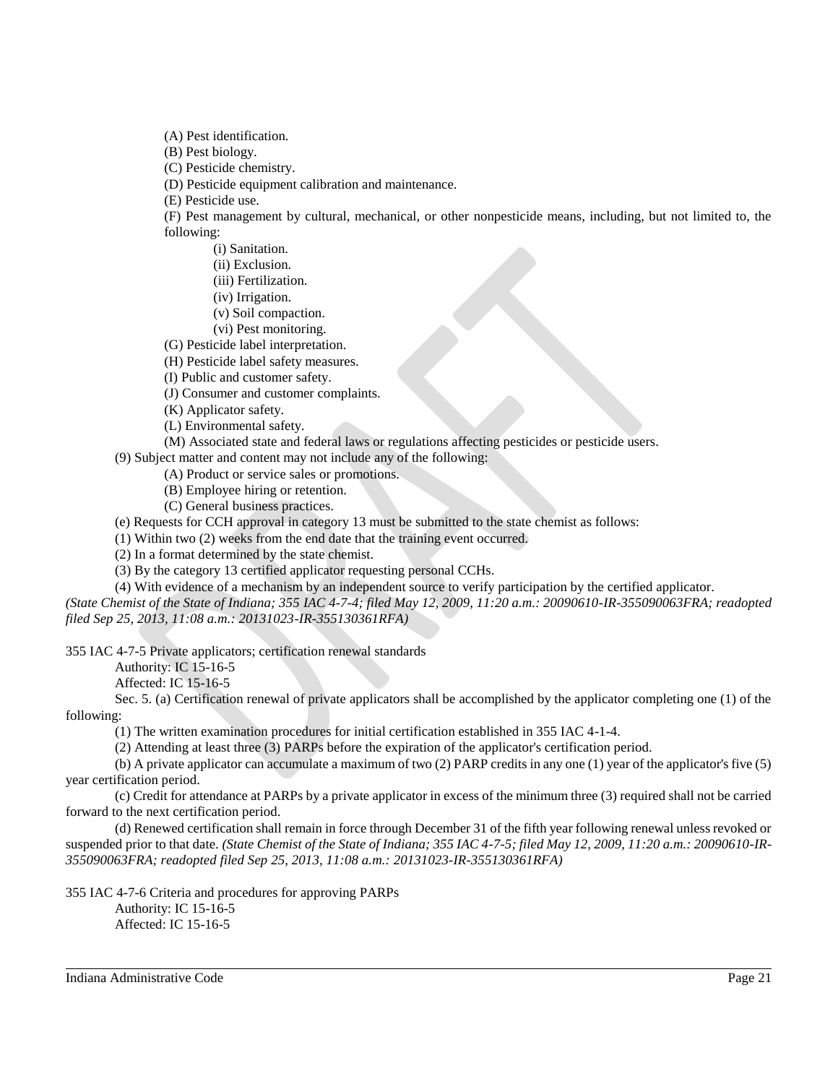(A) Pest identification.

(B) Pest biology.

(C) Pesticide chemistry.

(D) Pesticide equipment calibration and maintenance.

(E) Pesticide use.

(F) Pest management by cultural, mechanical, or other nonpesticide means, including, but not limited to, the following:

(i) Sanitation.

(ii) Exclusion.

(iii) Fertilization.

- (iv) Irrigation.
- (v) Soil compaction.
- (vi) Pest monitoring.

(G) Pesticide label interpretation.

(H) Pesticide label safety measures.

(I) Public and customer safety.

(J) Consumer and customer complaints.

(K) Applicator safety.

(L) Environmental safety.

(M) Associated state and federal laws or regulations affecting pesticides or pesticide users.

(9) Subject matter and content may not include any of the following:

(A) Product or service sales or promotions.

(B) Employee hiring or retention.

(C) General business practices.

(e) Requests for CCH approval in category 13 must be submitted to the state chemist as follows:

(1) Within two (2) weeks from the end date that the training event occurred.

(2) In a format determined by the state chemist.

(3) By the category 13 certified applicator requesting personal CCHs.

(4) With evidence of a mechanism by an independent source to verify participation by the certified applicator. *(State Chemist of the State of Indiana; 355 IAC 4-7-4; filed May 12, 2009, 11:20 a.m.: 20090610-IR-355090063FRA; readopted filed Sep 25, 2013, 11:08 a.m.: 20131023-IR-355130361RFA)*

355 IAC 4-7-5 Private applicators; certification renewal standards

Authority: IC 15-16-5

Affected: IC 15-16-5

Sec. 5. (a) Certification renewal of private applicators shall be accomplished by the applicator completing one (1) of the following:

(1) The written examination procedures for initial certification established in 355 IAC 4-1-4.

(2) Attending at least three (3) PARPs before the expiration of the applicator's certification period.

(b) A private applicator can accumulate a maximum of two (2) PARP credits in any one (1) year of the applicator's five (5) year certification period.

(c) Credit for attendance at PARPs by a private applicator in excess of the minimum three (3) required shall not be carried forward to the next certification period.

(d) Renewed certification shall remain in force through December 31 of the fifth year following renewal unless revoked or suspended prior to that date. *(State Chemist of the State of Indiana; 355 IAC 4-7-5; filed May 12, 2009, 11:20 a.m.: 20090610-IR-355090063FRA; readopted filed Sep 25, 2013, 11:08 a.m.: 20131023-IR-355130361RFA)*

355 IAC 4-7-6 Criteria and procedures for approving PARPs

Authority: IC 15-16-5 Affected: IC 15-16-5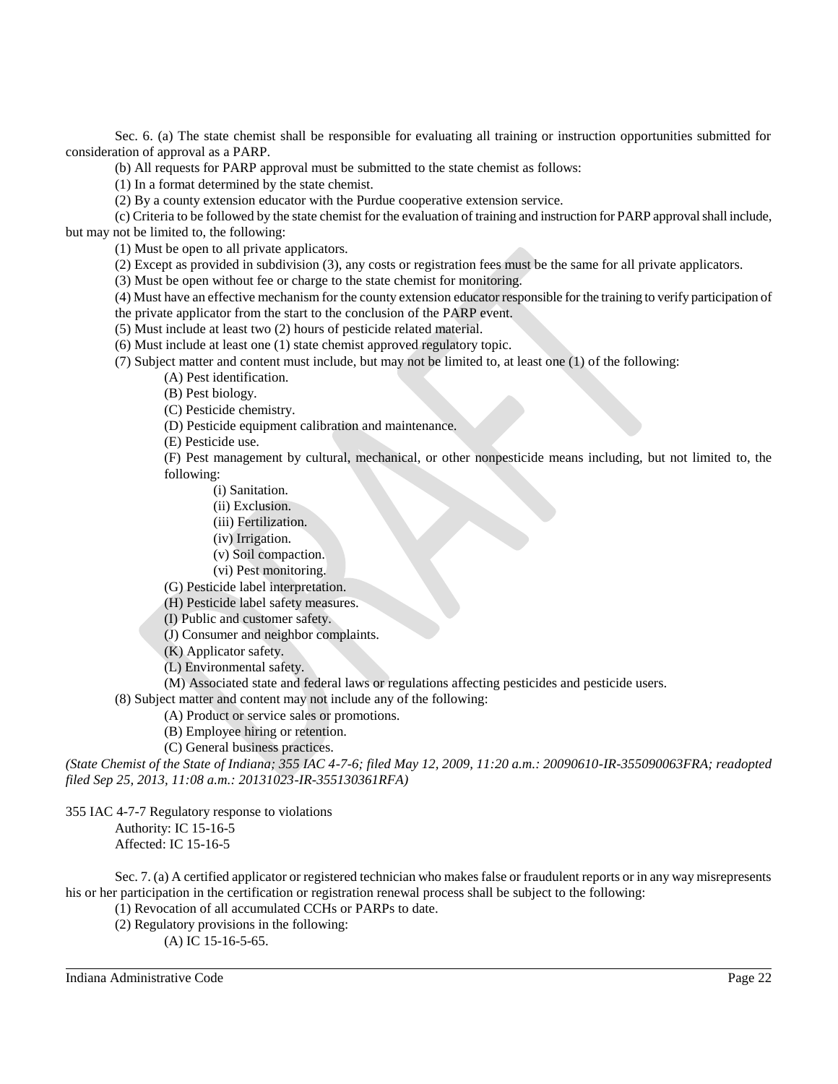Sec. 6. (a) The state chemist shall be responsible for evaluating all training or instruction opportunities submitted for consideration of approval as a PARP.

(b) All requests for PARP approval must be submitted to the state chemist as follows:

(1) In a format determined by the state chemist.

(2) By a county extension educator with the Purdue cooperative extension service.

(c) Criteria to be followed by the state chemist for the evaluation of training and instruction for PARP approval shall include, but may not be limited to, the following:

(1) Must be open to all private applicators.

(2) Except as provided in subdivision (3), any costs or registration fees must be the same for all private applicators.

(3) Must be open without fee or charge to the state chemist for monitoring.

(4) Must have an effective mechanism for the county extension educator responsible for the training to verify participation of

the private applicator from the start to the conclusion of the PARP event.

(5) Must include at least two (2) hours of pesticide related material.

(6) Must include at least one (1) state chemist approved regulatory topic.

(7) Subject matter and content must include, but may not be limited to, at least one (1) of the following:

(A) Pest identification.

(B) Pest biology.

(C) Pesticide chemistry.

(D) Pesticide equipment calibration and maintenance.

(E) Pesticide use.

(F) Pest management by cultural, mechanical, or other nonpesticide means including, but not limited to, the following:

(i) Sanitation.

(ii) Exclusion.

(iii) Fertilization.

(iv) Irrigation.

(v) Soil compaction.

(vi) Pest monitoring.

(G) Pesticide label interpretation.

(H) Pesticide label safety measures.

(I) Public and customer safety.

(J) Consumer and neighbor complaints.

(K) Applicator safety.

(L) Environmental safety.

(M) Associated state and federal laws or regulations affecting pesticides and pesticide users.

(8) Subject matter and content may not include any of the following:

(A) Product or service sales or promotions.

(B) Employee hiring or retention.

(C) General business practices.

*(State Chemist of the State of Indiana; 355 IAC 4-7-6; filed May 12, 2009, 11:20 a.m.: 20090610-IR-355090063FRA; readopted filed Sep 25, 2013, 11:08 a.m.: 20131023-IR-355130361RFA)*

355 IAC 4-7-7 Regulatory response to violations

Authority: IC 15-16-5

Affected: IC 15-16-5

Sec. 7. (a) A certified applicator or registered technician who makes false or fraudulent reports or in any way misrepresents his or her participation in the certification or registration renewal process shall be subject to the following:

(1) Revocation of all accumulated CCHs or PARPs to date.

(2) Regulatory provisions in the following:

(A) IC 15-16-5-65.